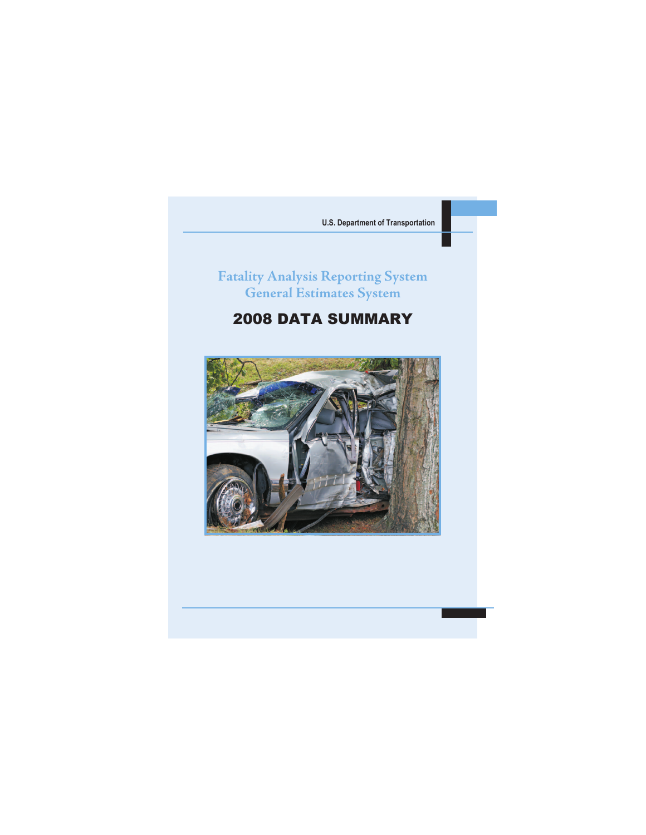# **Fatality Analysis Reporting System General Estimates System**

# 2008 DATA SUMMARY

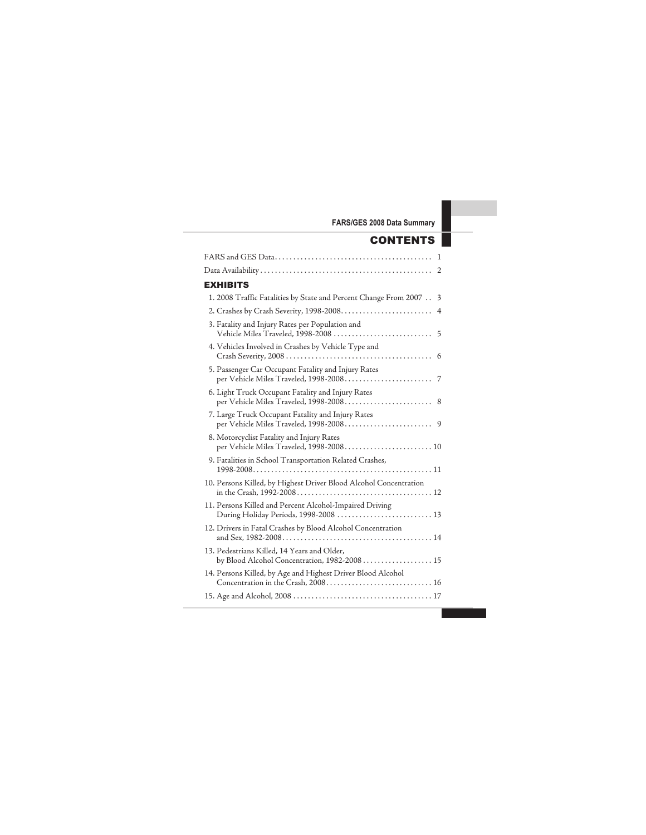## **CONTENTS**

| <b>EXHIBITS</b>                                                                                  |                         |
|--------------------------------------------------------------------------------------------------|-------------------------|
| 1. 2008 Traffic Fatalities by State and Percent Change From 2007                                 | $\overline{\mathbf{3}}$ |
|                                                                                                  | $\overline{4}$          |
| 3. Fatality and Injury Rates per Population and                                                  |                         |
| 4. Vehicles Involved in Crashes by Vehicle Type and                                              |                         |
| 5. Passenger Car Occupant Fatality and Injury Rates                                              |                         |
| 6. Light Truck Occupant Fatality and Injury Rates                                                |                         |
| 7. Large Truck Occupant Fatality and Injury Rates                                                |                         |
| 8. Motorcyclist Fatality and Injury Rates<br>per Vehicle Miles Traveled, 1998-2008 10            |                         |
| 9. Fatalities in School Transportation Related Crashes,                                          |                         |
| 10. Persons Killed, by Highest Driver Blood Alcohol Concentration                                |                         |
| 11. Persons Killed and Percent Alcohol-Impaired Driving<br>During Holiday Periods, 1998-2008  13 |                         |
| 12. Drivers in Fatal Crashes by Blood Alcohol Concentration                                      |                         |
| 13. Pedestrians Killed, 14 Years and Older,<br>by Blood Alcohol Concentration, 1982-2008 15      |                         |
| 14. Persons Killed, by Age and Highest Driver Blood Alcohol                                      |                         |
|                                                                                                  |                         |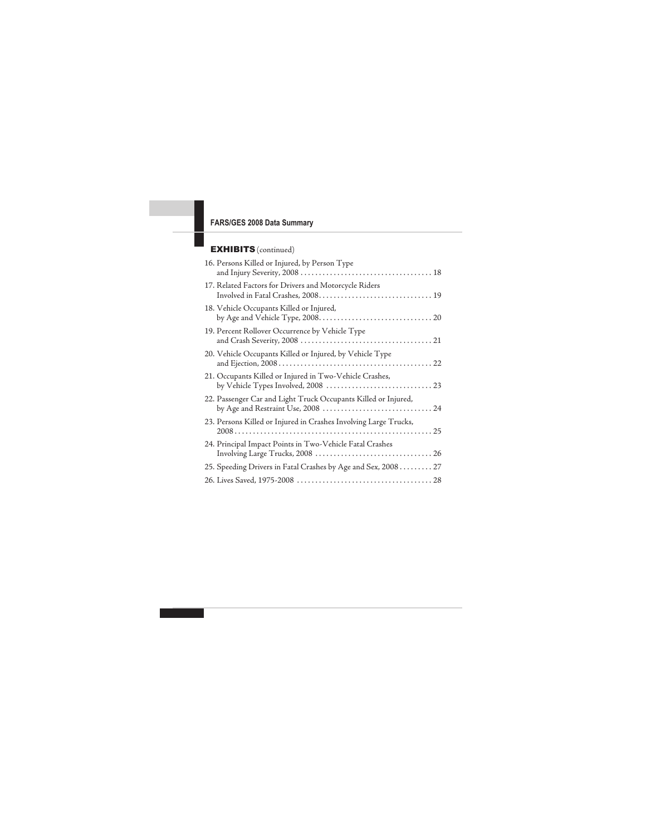### EXHIBITS (continued)

| 16. Persons Killed or Injured, by Person Type                    |
|------------------------------------------------------------------|
| 17. Related Factors for Drivers and Motorcycle Riders            |
| 18. Vehicle Occupants Killed or Injured,                         |
| 19. Percent Rollover Occurrence by Vehicle Type                  |
| 20. Vehicle Occupants Killed or Injured, by Vehicle Type         |
| 21. Occupants Killed or Injured in Two-Vehicle Crashes,          |
| 22. Passenger Car and Light Truck Occupants Killed or Injured,   |
| 23. Persons Killed or Injured in Crashes Involving Large Trucks, |
| 24. Principal Impact Points in Two-Vehicle Fatal Crashes         |
| 25. Speeding Drivers in Fatal Crashes by Age and Sex, 2008 27    |
|                                                                  |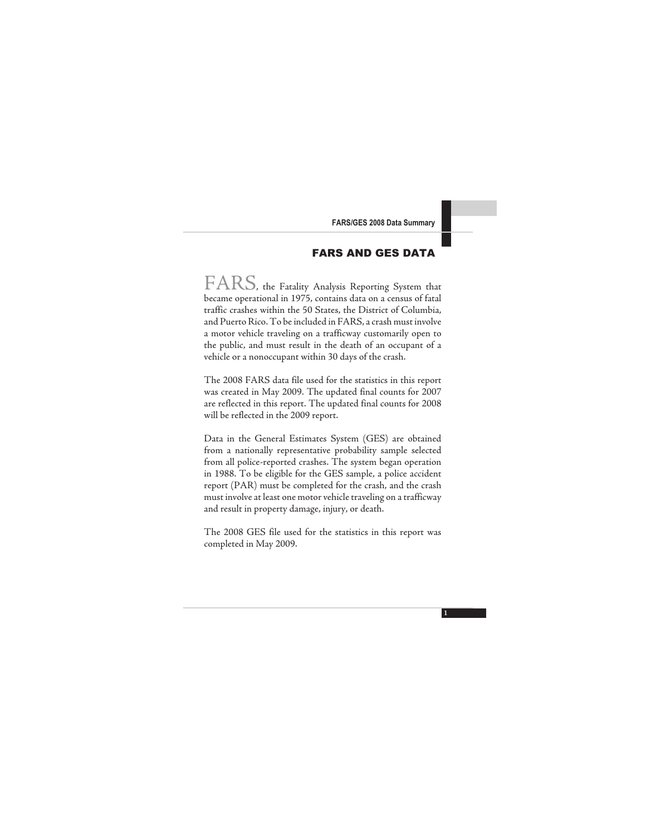### FARS AND GES DATA

FARS, the Fatality Analysis Reporting System that became operational in 1975, contains data on a census of fatal traffic crashes within the 50 States, the District of Columbia, and Puerto Rico. To be included in FARS, a crash must involve a motor vehicle traveling on a trafficway customarily open to the public, and must result in the death of an occupant of a vehicle or a nonoccupant within 30 days of the crash.

The 2008 FARS data file used for the statistics in this report was created in May 2009. The updated final counts for 2007 are reflected in this report. The updated final counts for 2008 will be reflected in the 2009 report.

Data in the General Estimates System (GES) are obtained from a nationally representative probability sample selected from all police-reported crashes. The system began operation in 1988. To be eligible for the GES sample, a police accident report (PAR) must be completed for the crash, and the crash must involve at least one motor vehicle traveling on a trafficway and result in property damage, injury, or death.

The 2008 GES file used for the statistics in this report was completed in May 2009.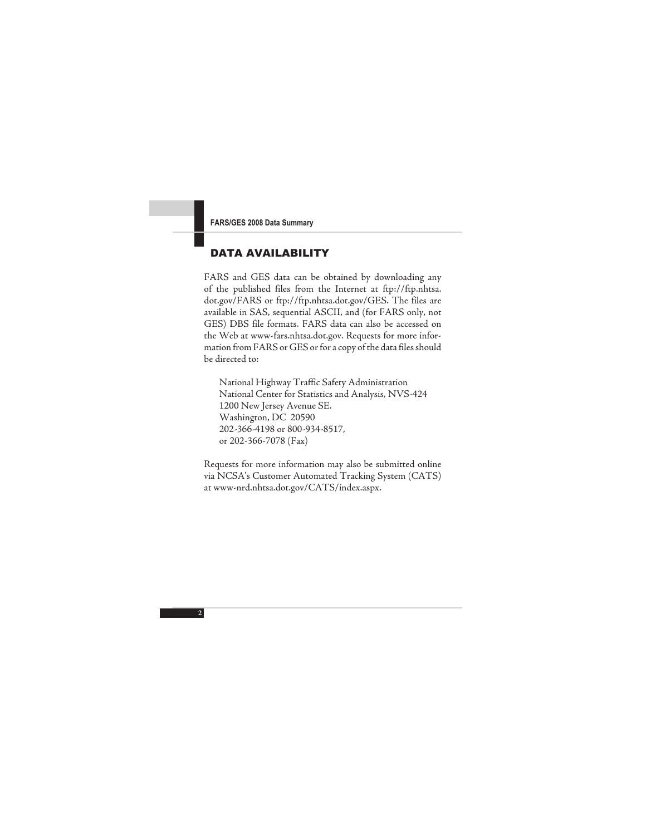### DATA AVAILABILITY

FARS and GES data can be obtained by downloading any of the published files from the Internet at ftp://ftp.nhtsa. dot.gov/FARS or ftp://ftp.nhtsa.dot.gov/GES. The files are available in SAS, sequential ASCII, and (for FARS only, not GES) DBS file formats. FARS data can also be accessed on the Web at www-fars.nhtsa.dot.gov. Requests for more information from FARS or GES or for a copy of the data files should be directed to:

National Highway Traffic Safety Administration National Center for Statistics and Analysis, NVS-424 1200 New Jersey Avenue SE. Washington, DC 20590 202-366-4198 or 800-934-8517, or 202-366-7078 (Fax)

Requests for more information may also be submitted online via NCSA's Customer Automated Tracking System (CATS) at www-nrd.nhtsa.dot.gov/CATS/index.aspx.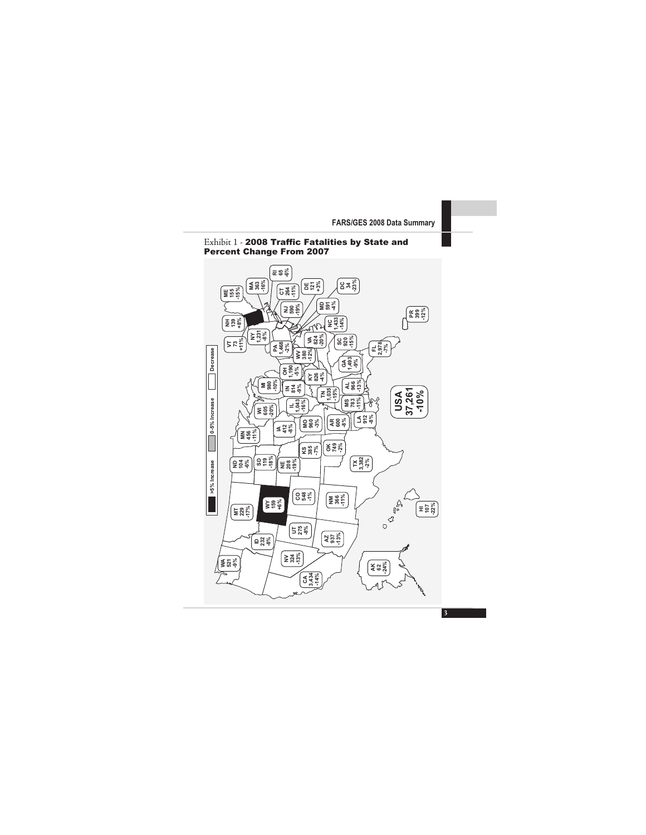

#### Exhibit 1 - 2008 Traffic Fatalities by State and Percent Change From 2007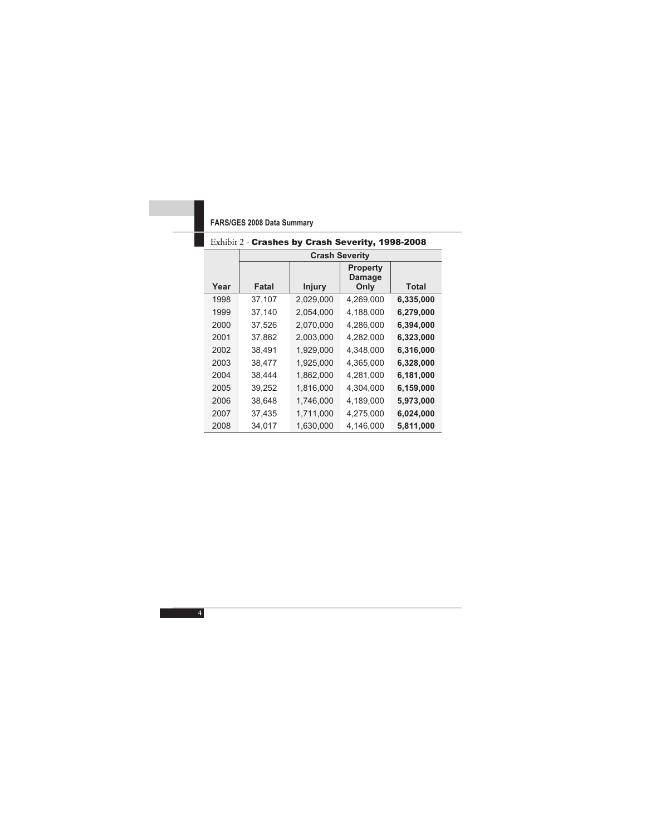|      |        |               | <b>Crash Severity</b>                    |           |
|------|--------|---------------|------------------------------------------|-----------|
| Year | Fatal  | <b>Injury</b> | <b>Property</b><br><b>Damage</b><br>Only | Total     |
| 1998 | 37,107 | 2,029,000     | 4,269,000                                | 6,335,000 |
| 1999 | 37,140 | 2,054,000     | 4,188,000                                | 6,279,000 |
| 2000 | 37,526 | 2,070,000     | 4,286,000                                | 6,394,000 |
| 2001 | 37.862 | 2,003,000     | 4,282,000                                | 6,323,000 |
| 2002 | 38,491 | 1,929,000     | 4,348,000                                | 6,316,000 |
| 2003 | 38,477 | 1,925,000     | 4,365,000                                | 6,328,000 |
| 2004 | 38,444 | 1,862,000     | 4,281,000                                | 6,181,000 |
| 2005 | 39,252 | 1,816,000     | 4,304,000                                | 6,159,000 |
| 2006 | 38,648 | 1,746,000     | 4,189,000                                | 5,973,000 |
| 2007 | 37,435 | 1,711,000     | 4,275,000                                | 6,024,000 |
| 2008 | 34,017 | 1,630,000     | 4,146,000                                | 5,811,000 |

### Exhibit 2 - Crashes by Crash Severity, 1998-2008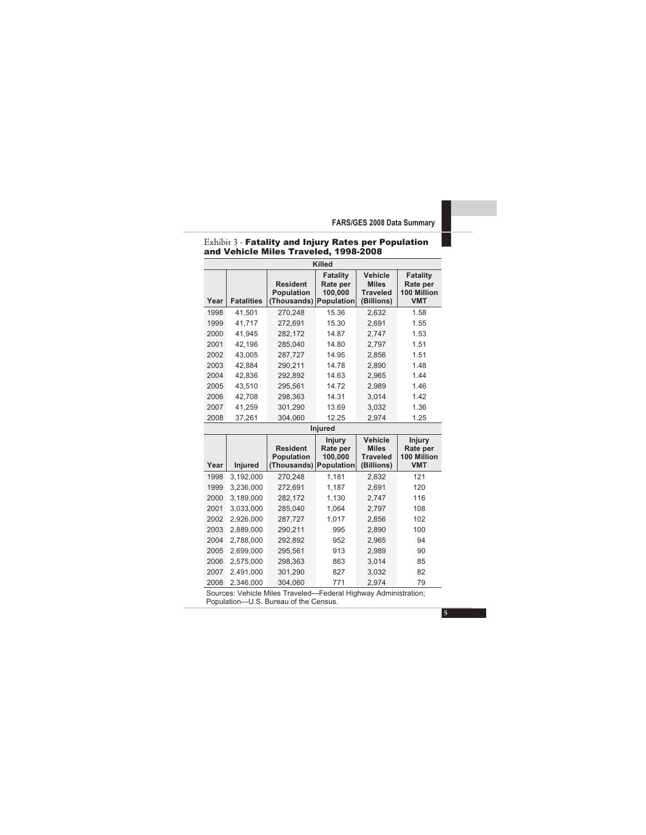|                                       |  | Exhibit 3 - Fatality and Injury Rates per Population |  |
|---------------------------------------|--|------------------------------------------------------|--|
| and Vehicle Miles Traveled, 1998-2008 |  |                                                      |  |

|      |                   |                                                     | <b>Killed</b>                                 |                                                                 |                                                   |
|------|-------------------|-----------------------------------------------------|-----------------------------------------------|-----------------------------------------------------------------|---------------------------------------------------|
| Year | <b>Fatalities</b> | Resident<br><b>Population</b><br>(Thousands)        | Fatality<br>Rate per<br>100.000<br>Population | <b>Vehicle</b><br><b>Miles</b><br><b>Traveled</b><br>(Billions) | Fatality<br>Rate per<br>100 Million<br><b>VMT</b> |
| 1998 | 41,501            | 270,248                                             | 15.36                                         | 2,632                                                           | 1.58                                              |
| 1999 | 41,717            | 272,691                                             | 15.30                                         | 2,691                                                           | 1.55                                              |
| 2000 | 41.945            | 282.172                                             | 14.87                                         | 2,747                                                           | 1.53                                              |
| 2001 | 42,196            | 285,040                                             | 14.80                                         | 2,797                                                           | 1.51                                              |
| 2002 | 43.005            | 287.727                                             | 14.95                                         | 2,856                                                           | 1.51                                              |
| 2003 | 42,884            | 290,211                                             | 14.78                                         | 2,890                                                           | 1.48                                              |
| 2004 | 42,836            | 292,892                                             | 14.63                                         | 2,965                                                           | 1.44                                              |
| 2005 | 43,510            | 295,561                                             | 14.72                                         | 2,989                                                           | 1.46                                              |
| 2006 | 42,708            | 298,363                                             | 14.31                                         | 3,014                                                           | 1.42                                              |
| 2007 | 41,259            | 301,290                                             | 13.69                                         | 3,032                                                           | 1.36                                              |
| 2008 | 37,261            | 304,060                                             | 12.25                                         | 2,974                                                           | 1.25                                              |
|      |                   |                                                     | <b>Injured</b>                                |                                                                 |                                                   |
| Year | Injured           | <b>Resident</b><br><b>Population</b><br>(Thousands) | Injury<br>Rate per<br>100,000<br>Population   | Vehicle<br><b>Miles</b><br><b>Traveled</b><br>(Billions)        | Injury<br>Rate per<br>100 Million<br><b>VMT</b>   |
| 1998 | 3.192.000         | 270.248                                             | 1.181                                         | 2,632                                                           | 121                                               |
| 1999 | 3,236,000         | 272,691                                             | 1,187                                         | 2,691                                                           | 120                                               |
| 2000 | 3,189,000         | 282,172                                             | 1,130                                         | 2,747                                                           | 116                                               |
| 2001 | 3,033,000         | 285,040                                             | 1,064                                         | 2,797                                                           | 108                                               |
| 2002 | 2,926,000         | 287,727                                             | 1,017                                         | 2,856                                                           | 102                                               |
| 2003 | 2,889,000         | 290,211                                             | 995                                           | 2,890                                                           | 100                                               |
| 2004 | 2,788,000         | 292,892                                             | 952                                           | 2,965                                                           | 94                                                |
| 2005 | 2,699,000         | 295,561                                             | 913                                           | 2,989                                                           | 90                                                |
| 2006 | 2,575,000         | 298,363                                             | 863                                           | 3,014                                                           | 85                                                |
| 2007 | 2,491,000         | 301,290                                             | 827                                           | 3,032                                                           | 82                                                |
| 2008 | 2,346,000         | 304,060                                             | 771                                           | 2,974                                                           | 79                                                |

Sources: Vehicle Miles Traveled—Federal Highway Administration; Population—U.S. Bureau of the Census.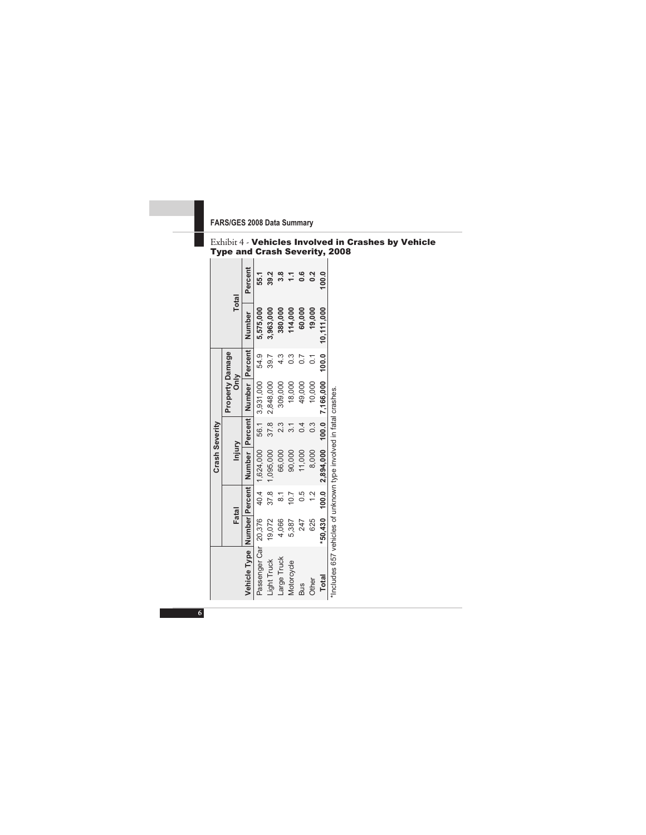|                                                                      |        |                  | Crash Severity                          |      |                                |                |              |               |
|----------------------------------------------------------------------|--------|------------------|-----------------------------------------|------|--------------------------------|----------------|--------------|---------------|
|                                                                      | Fatal  |                  | Injury                                  |      | Property Damage<br>$rac{8}{5}$ |                | <b>Total</b> |               |
| Vehicle Type   Number  Percent   Number   Percent   Number   Percent |        |                  |                                         |      |                                |                | Number       | Percent       |
| Passenger Car 20,376                                                 |        |                  | 40.4 1,624,000                          | 56.1 | 3,931,000                      | 54.9           | 5,575,000    | 55.1          |
| <b>Light Truck</b>                                                   | 19,072 | 37.8             | 1,095,000                               | 37.8 | 2,848,000                      | 39.7           | 3,963,000    | 39.2          |
| Large Truck                                                          | 4,066  | $\overline{8}$ . | 66,000                                  | 23   | 309,000                        | 4.3            | 380,000      | 3.8           |
| Motorcycle                                                           | 5,387  | 10.7             | 90,000                                  |      | 18,000                         | ი<br>თ         | 114,000      | 11            |
| <b>Bus</b>                                                           | 247    | 0.5              | 11,000                                  | 0.4  | 49,000                         | 0.7            | 60,000       | $\frac{6}{5}$ |
| Other                                                                | 625    | $\frac{2}{3}$    | 8,000                                   | 0.3  | 10,000                         | $\overline{C}$ | 19,000       | $\frac{2}{3}$ |
| Total                                                                |        |                  | *50,430 100.0 2,894,000 100.0 7,166,000 |      |                                | 100.0          | 10,111,000   | 100.0         |
| "Includes 657 vehicles of unknown type involved in fatal crashes.    |        |                  |                                         |      |                                |                |              |               |

#### Exhibit 4 - Vehicles Involved in Crashes by Vehicle Type and Crash Severity, 2008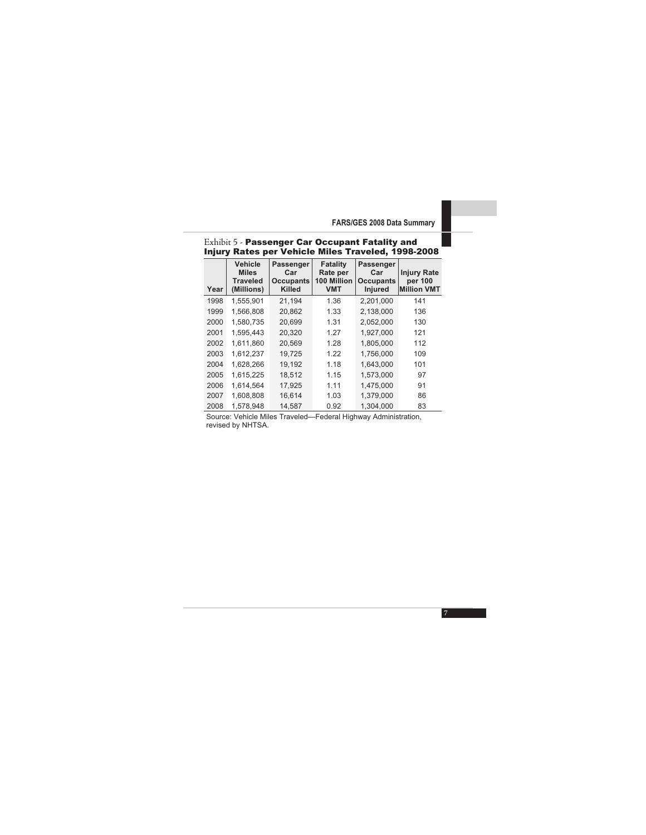| Year | <b>Vehicle</b><br><b>Miles</b><br><b>Traveled</b><br>(Millions) | <b>Passenger</b><br>Car<br><b>Occupants</b><br><b>Killed</b> | Fatality<br>Rate per<br>100 Million<br><b>VMT</b> | Passenger<br>Car<br>Occupants<br><b>Injured</b> | <b>Injury Rate</b><br>per 100<br><b>Million VMT</b> |
|------|-----------------------------------------------------------------|--------------------------------------------------------------|---------------------------------------------------|-------------------------------------------------|-----------------------------------------------------|
| 1998 | 1,555,901                                                       | 21,194                                                       | 1.36                                              | 2,201,000                                       | 141                                                 |
| 1999 | 1.566.808                                                       | 20,862                                                       | 1.33                                              | 2.138.000                                       | 136                                                 |
| 2000 | 1,580,735                                                       | 20.699                                                       | 1.31                                              | 2,052,000                                       | 130                                                 |
| 2001 | 1.595.443                                                       | 20,320                                                       | 1.27                                              | 1.927.000                                       | 121                                                 |
| 2002 | 1.611.860                                                       | 20.569                                                       | 1.28                                              | 1.805.000                                       | 112                                                 |
| 2003 | 1,612,237                                                       | 19,725                                                       | 1.22                                              | 1,756,000                                       | 109                                                 |
| 2004 | 1.628.266                                                       | 19.192                                                       | 1.18                                              | 1.643.000                                       | 101                                                 |
| 2005 | 1.615.225                                                       | 18,512                                                       | 1.15                                              | 1,573,000                                       | 97                                                  |
| 2006 | 1.614.564                                                       | 17.925                                                       | 1.11                                              | 1.475.000                                       | 91                                                  |
| 2007 | 1.608.808                                                       | 16.614                                                       | 1.03                                              | 1.379.000                                       | 86                                                  |
| 2008 | 1,578,948                                                       | 14.587                                                       | 0.92                                              | 1.304.000                                       | 83                                                  |

#### Exhibit 5 - Passenger Car Occupant Fatality and Injury Rates per Vehicle Miles Traveled, 1998-2008

Source: Vehicle Miles Traveled—Federal Highway Administration, revised by NHTSA.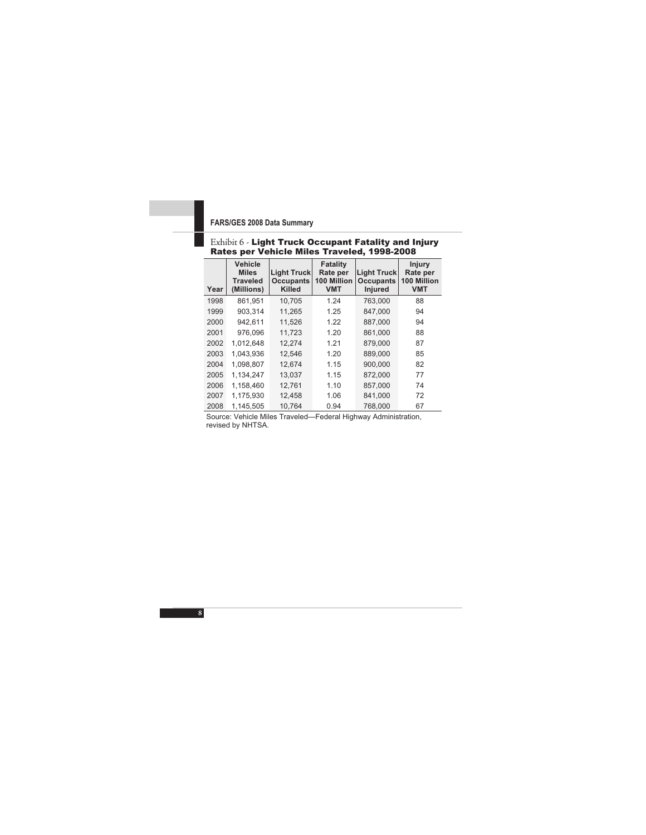#### Exhibit 6 - Light Truck Occupant Fatality and Injury Rates per Vehicle Miles Traveled, 1998-2008

| Year | <b>Vehicle</b><br><b>Miles</b><br><b>Traveled</b><br>(Millions) | <b>Light Truck</b><br><b>Occupants</b><br><b>Killed</b> | Fatality<br>Rate per<br>100 Million<br><b>VMT</b> | <b>Light Truck</b><br><b>Occupants</b><br>Injured | Injury<br>Rate per<br>100 Million<br><b>VMT</b> |
|------|-----------------------------------------------------------------|---------------------------------------------------------|---------------------------------------------------|---------------------------------------------------|-------------------------------------------------|
| 1998 | 861,951                                                         | 10,705                                                  | 1.24                                              | 763,000                                           | 88                                              |
| 1999 | 903.314                                                         | 11.265                                                  | 1.25                                              | 847.000                                           | 94                                              |
| 2000 | 942,611                                                         | 11,526                                                  | 1.22                                              | 887,000                                           | 94                                              |
| 2001 | 976,096                                                         | 11.723                                                  | 1.20                                              | 861.000                                           | 88                                              |
| 2002 | 1.012.648                                                       | 12,274                                                  | 1.21                                              | 879.000                                           | 87                                              |
| 2003 | 1.043.936                                                       | 12.546                                                  | 1.20                                              | 889,000                                           | 85                                              |
| 2004 | 1,098,807                                                       | 12,674                                                  | 1.15                                              | 900,000                                           | 82                                              |
| 2005 | 1.134.247                                                       | 13.037                                                  | 1.15                                              | 872,000                                           | 77                                              |
| 2006 | 1,158,460                                                       | 12,761                                                  | 1.10                                              | 857,000                                           | 74                                              |
| 2007 | 1.175.930                                                       | 12,458                                                  | 1.06                                              | 841.000                                           | 72                                              |
| 2008 | 1.145.505                                                       | 10.764                                                  | 0.94                                              | 768.000                                           | 67                                              |

Source: Vehicle Miles Traveled—Federal Highway Administration, revised by NHTSA.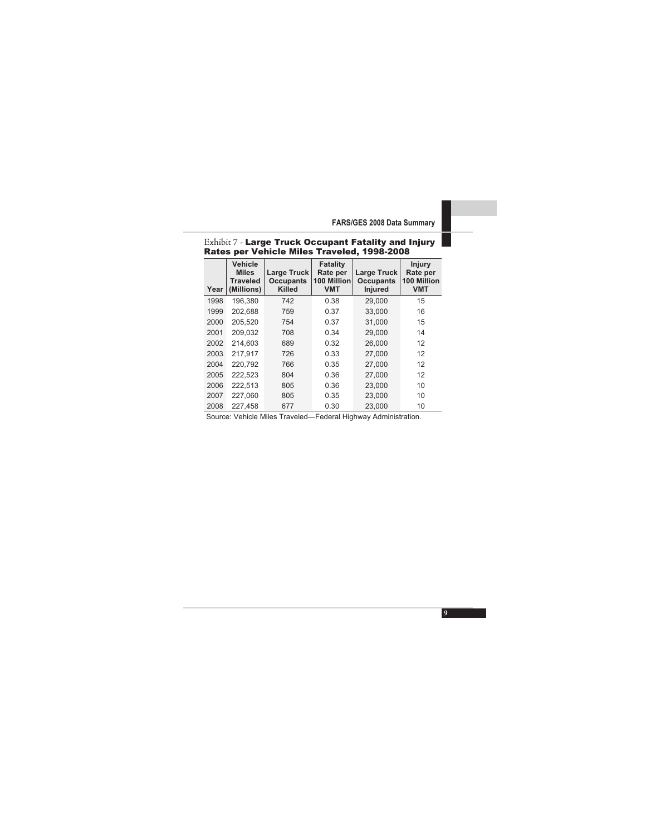#### Rates per Vehicle Miles Traveled, 1998-2008 **Year Vehicle Miles Traveled (Millions) Large Truck Occupants Killed Fatality Rate per 100 Million VMT Large Truck Occupants Injured Injury Rate per 100 Million VMT**  1998 196,380 742 0.38 29,000 15 1999 202,688 759 0.37 33,000 16 2000 205,520 754 0.37 31,000 15 2001 209,032 708 0.34 29,000 14 2002 214,603 689 0.32 26,000 12 2003 217,917 726 0.33 27,000 12

Exhibit 7 - Large Truck Occupant Fatality and Injury

2008 227,458 677 0.30 23,000 10 Source: Vehicle Miles Traveled—Federal Highway Administration.

2004 220,792 766 0.35 27,000 12 2005 222,523 804 0.36 27,000 12 2006 222,513 805 0.36 23,000 10 2007 227,060 805 0.35 23,000 10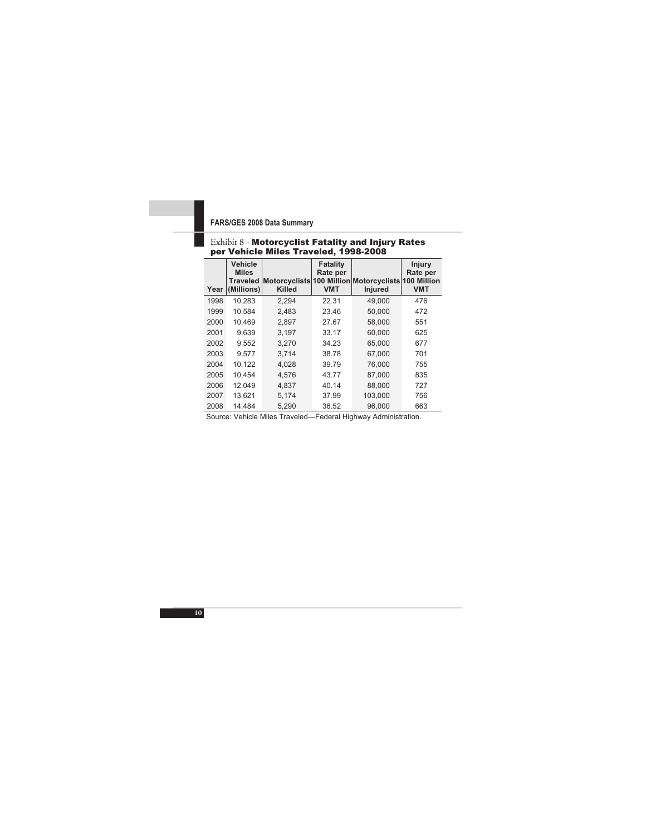#### Exhibit 8 - Motorcyclist Fatality and Injury Rates per Vehicle Miles Traveled, 1998-2008

| Year | Vehicle<br><b>Miles</b><br><b>Traveled</b><br>(Millions) | Motorcyclists 100 Million Motorcyclists 100 Million<br><b>Killed</b> | Fatality<br>Rate per<br><b>VMT</b> | <b>Injured</b> | Injury<br>Rate per<br><b>VMT</b> |
|------|----------------------------------------------------------|----------------------------------------------------------------------|------------------------------------|----------------|----------------------------------|
| 1998 | 10.283                                                   | 2.294                                                                | 22.31                              | 49.000         | 476                              |
| 1999 | 10.584                                                   | 2.483                                                                | 23.46                              | 50,000         | 472                              |
| 2000 | 10.469                                                   | 2.897                                                                | 27.67                              | 58,000         | 551                              |
| 2001 | 9.639                                                    | 3.197                                                                | 33.17                              | 60.000         | 625                              |
| 2002 | 9.552                                                    | 3.270                                                                | 34.23                              | 65.000         | 677                              |
| 2003 | 9.577                                                    | 3.714                                                                | 38.78                              | 67.000         | 701                              |
| 2004 | 10.122                                                   | 4,028                                                                | 39.79                              | 76,000         | 755                              |
| 2005 | 10.454                                                   | 4.576                                                                | 43.77                              | 87.000         | 835                              |
| 2006 | 12,049                                                   | 4,837                                                                | 40.14                              | 88,000         | 727                              |
| 2007 | 13.621                                                   | 5.174                                                                | 37.99                              | 103.000        | 756                              |
| 2008 | 14.484                                                   | 5.290                                                                | 36.52                              | 96.000         | 663                              |

Source: Vehicle Miles Traveled—Federal Highway Administration.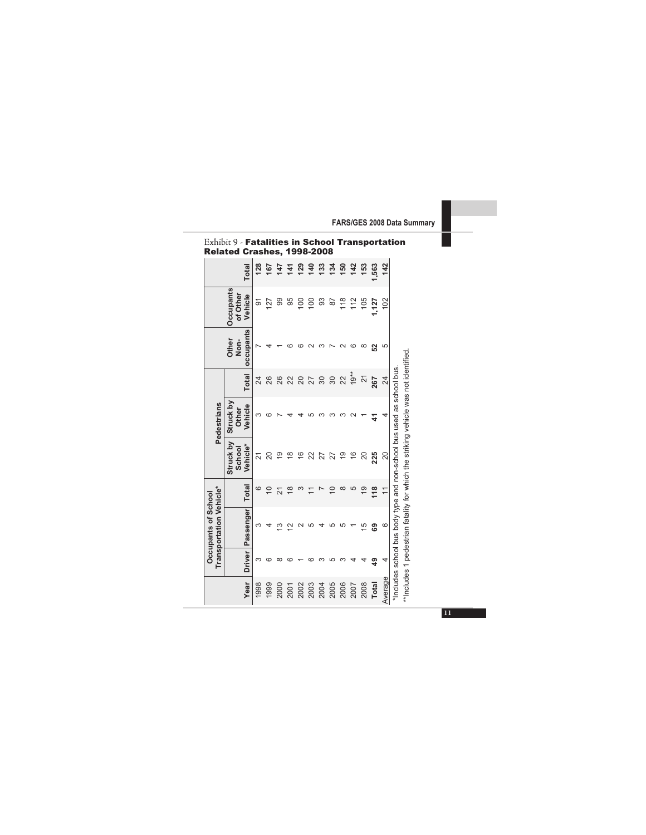|                                                       | Total                                   | 128            |                | <b>te 5<br/>25<br/>29</b> |                | 129             | <b>1234</b><br>124 |          |      | 150  | $\frac{1}{4}$             | 153            | 1,563 | 142     |                                                                      |
|-------------------------------------------------------|-----------------------------------------|----------------|----------------|---------------------------|----------------|-----------------|--------------------|----------|------|------|---------------------------|----------------|-------|---------|----------------------------------------------------------------------|
|                                                       | <b>Occupants</b><br>of Other<br>Vehicle | $\overline{5}$ | 127            | 99                        | 95             | $\overline{00}$ | $\frac{00}{2}$     | සි       | 52   | 118  | 112                       | 105            | 1,127 | 102     |                                                                      |
|                                                       | occupants<br>Other<br>Non-              |                |                |                           |                |                 |                    |          |      |      |                           | ∞              | ន     |         |                                                                      |
|                                                       | Total                                   | 24             | 26             | 26                        | 22             | 20              | 27                 | $\infty$ | 30   | 22   | $19**$                    | $\overline{c}$ | 267   | $^{24}$ |                                                                      |
| Pedestrians                                           | Struck by<br>Vehicle<br>Other           | ω              |                |                           |                |                 |                    |          |      |      |                           |                | 2     |         |                                                                      |
|                                                       | Struck by<br>Vehicle*<br>School         | 21             | 20             | e,                        | ₽              | $\frac{6}{5}$   | 22                 | 27       | 27   | စ္   | $\widetilde{\varepsilon}$ | 20             | 225   | 20      |                                                                      |
|                                                       | Total                                   | ဖ              | $\overline{C}$ | $\overline{2}1$           | $\frac{8}{1}$  |                 |                    |          | S    | ∞    | 5                         | $\frac{1}{2}$  | 118   |         |                                                                      |
| <b>Transportation Vehicle*</b><br>Occupants of School | Passenger                               | ო              |                | 13                        | $\bar{\omega}$ |                 |                    |          |      |      |                           | 15             | 69    | $\circ$ | "Includes school bus body type and non-school bus used as school bus |
|                                                       | Driver                                  | ო              |                |                           |                |                 |                    |          |      |      |                           |                | ဒ္    | 4       |                                                                      |
|                                                       | Year                                    | 1998           | 1999           | 2000                      | 2001           | 2002            | 2003               | 2004     | 2005 | 2006 | 2007                      | 2008           | Total | Average |                                                                      |

Exhibit 9 - Fatalities in School Transportation Related Crashes, 1998-2008

\*\*Includes 1 pedestrian fatality for which the striking vehicle was not identified. \*\*Includes 1 pedestrian fatality for which the striking vehicle was not identified.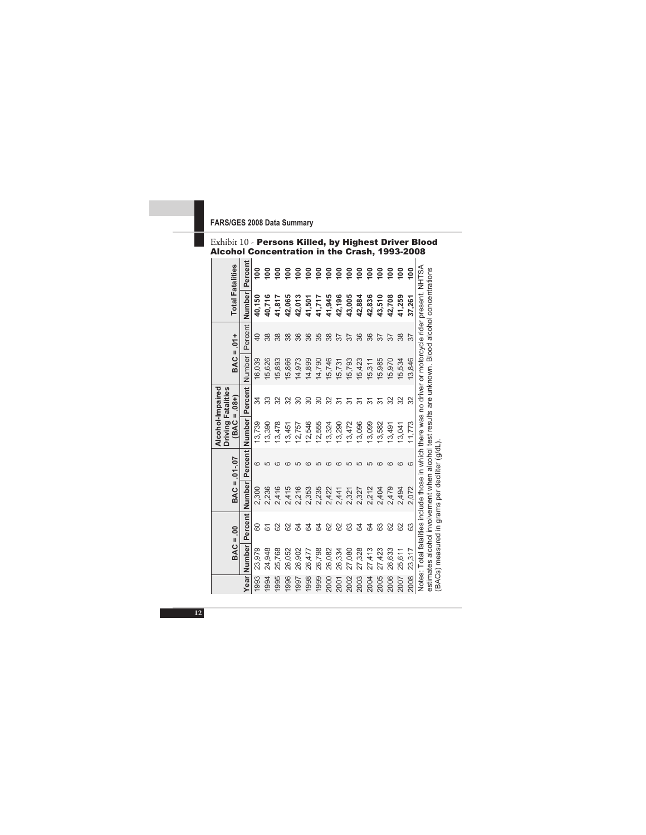|  |                                               | Exhibit 10 - Persons Killed, by Highest Driver Blood |
|--|-----------------------------------------------|------------------------------------------------------|
|  | Alcohol Concentration in the Crash, 1993-2008 |                                                      |

| <b>Total Fatalities</b>                                           | Percent        | ខ្ព    | ខ្ទ    | ខ្ទ    | ខ្ទ    | ខ្ទ    | ဓိ     | ᅙ      | ខ្ទ    | ᅙ      | ខ្ព    | ဓိ     | ဓိ     | $\frac{8}{100}$ | ဓ္ဌ    | ខ្ព    | ို     |                                                                                                       |                                                                                                   |                                               |
|-------------------------------------------------------------------|----------------|--------|--------|--------|--------|--------|--------|--------|--------|--------|--------|--------|--------|-----------------|--------|--------|--------|-------------------------------------------------------------------------------------------------------|---------------------------------------------------------------------------------------------------|-----------------------------------------------|
|                                                                   | Number         | 40,150 | 40,716 | 41,817 | 42,065 | 42,013 | 41,501 | 41,717 | 41,945 | 42,196 | 43,005 | 42,884 | 42,836 | 43,510          | 42,708 | 41,259 | 37,261 |                                                                                                       |                                                                                                   |                                               |
| $1 +$                                                             | Percent        | 9      |        |        |        |        | 86     | 35     | 38     |        |        | 86     |        |                 |        |        | 57     |                                                                                                       |                                                                                                   |                                               |
| BAC =                                                             | Number         | 6.039  | 5,626  | 5,893  | 5,866  | 14,973 | 14,899 | 14,790 | 5,746  | 5,731  | 5,793  | 5,423  | 5,311  | 5,985           | 5,970  | 5,534  | 13,846 |                                                                                                       |                                                                                                   |                                               |
|                                                                   | <b>Percent</b> | ≭      |        |        |        |        |        |        | న్ౖ    |        |        |        |        |                 |        |        | 32     |                                                                                                       |                                                                                                   |                                               |
| Alcohol-Impaired<br><b>Driving Fatalities</b><br>$(BAC = .08 + )$ | Number         | 3,739  | 3,390  | 3,478  | 13,451 | 12,757 | 2,546  | 2,555  | 13,324 | 13,290 | 13,472 | 13,096 | 3,099  | 3,582           | 13,491 | 13,041 | 11,773 |                                                                                                       |                                                                                                   |                                               |
| $-0.01 - 0.07$                                                    | Percent        | ဖ      |        |        |        |        |        |        |        |        |        |        |        |                 |        |        | G      |                                                                                                       |                                                                                                   |                                               |
| BAC =                                                             | Number         | 2,300  | 2,236  | 2,416  | 2,415  | 2,216  | 2,353  | 2,235  | 2,422  | 2,441  | 2,321  | 2,327  | 2,212  | 2,404           | 2,479  | 2,494  | 2.072  |                                                                                                       |                                                                                                   |                                               |
| S.                                                                | Percent        | 8      | 79     | 8      | ಜ      | 2      | 2      | 2      | ಜ      | ಜ      | සි     | 5      | 5      | සි              | 8      | 8      | යි     |                                                                                                       |                                                                                                   |                                               |
| BAC =                                                             | Year Number    | 23,979 | 24,948 | 25,768 | 26,052 | 26,902 | 26,477 | 26,798 | 26,082 | 26,334 | 27,080 | 27,328 | 27,413 | 27,423          | 26,633 | 25,611 | 23,317 | Notes: Total fatalities include those in which there was no driver or motorcycle rider present. NHTSA | estimates alcohol involvement when alcohol test results are unknown. Blood alcohol concentrations | (BACs) measured in grams per deciliter (g/dL) |
|                                                                   |                | 993    | 1994   | 1995   | 1996   | 1997   | 1998   | 1999   | 2000   | 2001   | 2002   | 2003   | 2004   | 2005            | 2006   | 2007   | 2008   |                                                                                                       |                                                                                                   |                                               |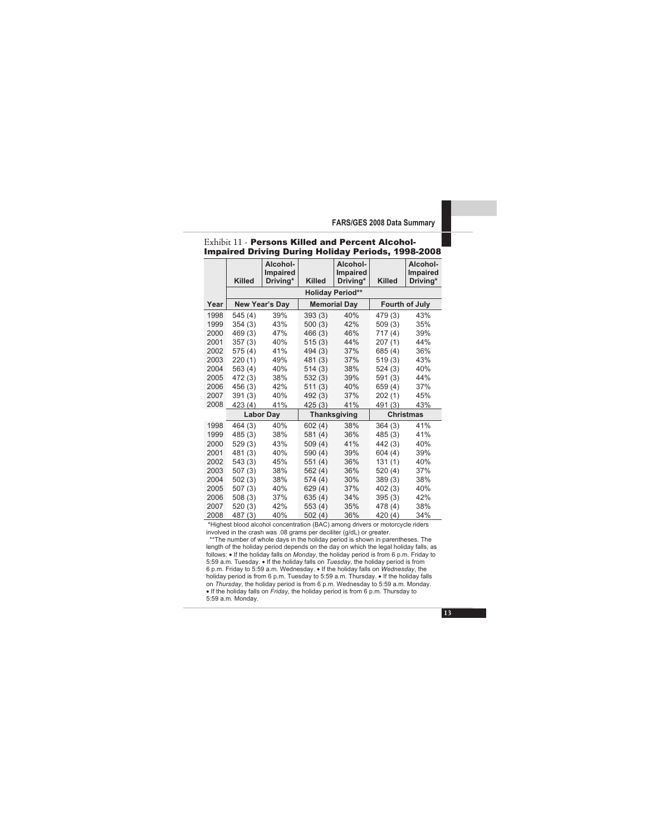#### Exhibit 11 - Persons Killed and Percent Alcohol-Impaired Driving During Holiday Periods, 1998-2008

|      | <b>Killed</b> | Alcohol-<br>Impaired<br>Driving* | <b>Killed</b> | Alcohol-<br>Impaired<br>Driving* | <b>Killed</b>    | Alcohol-<br>Impaired<br>Driving* |  |
|------|---------------|----------------------------------|---------------|----------------------------------|------------------|----------------------------------|--|
|      |               |                                  |               | <b>Holiday Period**</b>          |                  |                                  |  |
| Year |               | New Year's Day                   |               | <b>Memorial Day</b>              |                  | Fourth of July                   |  |
| 1998 | 545(4)        | 39%                              | 393(3)        | 40%                              | 479 (3)          | 43%                              |  |
| 1999 | 354(3)        | 43%                              | 500(3)        | 42%                              | 509(3)           | 35%                              |  |
| 2000 | 469(3)        | 47%                              | 466 (3)       | 46%                              | 717 (4)          | 39%                              |  |
| 2001 | 357(3)        | 40%                              | 515(3)        | 44%                              | 207(1)           | 44%                              |  |
| 2002 | 575 (4)       | 41%                              | 494 (3)       | 37%                              | 685 (4)          | 36%                              |  |
| 2003 | 220(1)        | 49%                              | 481 (3)       | 37%                              | 519(3)           | 43%                              |  |
| 2004 | 563(4)        | 40%                              | 514(3)        | 38%                              | 524(3)           | 40%                              |  |
| 2005 | 472 (3)       | 38%                              | 532(3)        | 39%                              | 591(3)           | 44%                              |  |
| 2006 | 456 (3)       | 42%                              | 511(3)        | 40%                              | 659 (4)          | 37%                              |  |
| 2007 | 391(3)        | 40%                              | 492 (3)       | 37%                              | 202(1)           | 45%                              |  |
| 2008 | 423 (4)       | 41%                              | 425(3)        | 41%                              | 491 (3)          | 43%                              |  |
|      |               | <b>Labor Day</b>                 |               | <b>Thanksgiving</b>              | <b>Christmas</b> |                                  |  |
| 1998 | 464(3)        | 40%                              | 602(4)        | 38%                              | 364(3)           | 41%                              |  |
| 1999 | 485(3)        | 38%                              | 581(4)        | 36%                              | 485(3)           | 41%                              |  |
| 2000 | 529(3)        | 43%                              | 509(4)        | 41%                              | 442 (3)          | 40%                              |  |
| 2001 | 481 (3)       | 40%                              | 590 (4)       | 39%                              | 604(4)           | 39%                              |  |
| 2002 | 543(3)        | 45%                              | 551(4)        | 36%                              | 131(1)           | 40%                              |  |
| 2003 | 507(3)        | 38%                              | 562(4)        | 36%                              | 520(4)           | 37%                              |  |
| 2004 | 502(3)        | 38%                              | 574(4)        | 30%                              | 389(3)           | 38%                              |  |
| 2005 | 507(3)        | 40%                              | 629(4)        | 37%                              | 402(3)           | 40%                              |  |
| 2006 | 508(3)        | 37%                              | 635(4)        | 34%                              | 395(3)           | 42%                              |  |
| 2007 | 520(3)        | 42%                              | 553(4)        | 35%                              | 478 (4)          | 38%                              |  |
| 2008 | 487 (3)       | 40%                              | 502(4)        | 36%                              | 420 (4)          | 34%                              |  |

\*Highest blood alcohol concentration (BAC) among drivers or motorcycle riders involved in the crash was .08 grams per deciliter (g/dL) or greater.

\*\*The number of whole days in the holiday period is shown in parentheses. The length of the holiday period depends on the day on which the legal holiday falls, as follows: • If the holiday falls on *Monday*, the holiday period is from 6 p.m. Friday to 5:59 a.m. Tuesday. • If the holiday falls on *Tuesday*, the holiday period is from 6 p.m. Friday to 5:59 a.m. Wednesday. • If the holiday falls on *Wednesday*, the holiday period is from 6 p.m. Tuesday to 5:59 a.m. Thursday. • If the holiday falls on *Thursday*, the holiday period is from 6 p.m. Wednesday to 5:59 a.m. Monday. • If the holiday falls on *Friday*, the holiday period is from 6 p.m. Thursday to 5:59 a.m. Monday.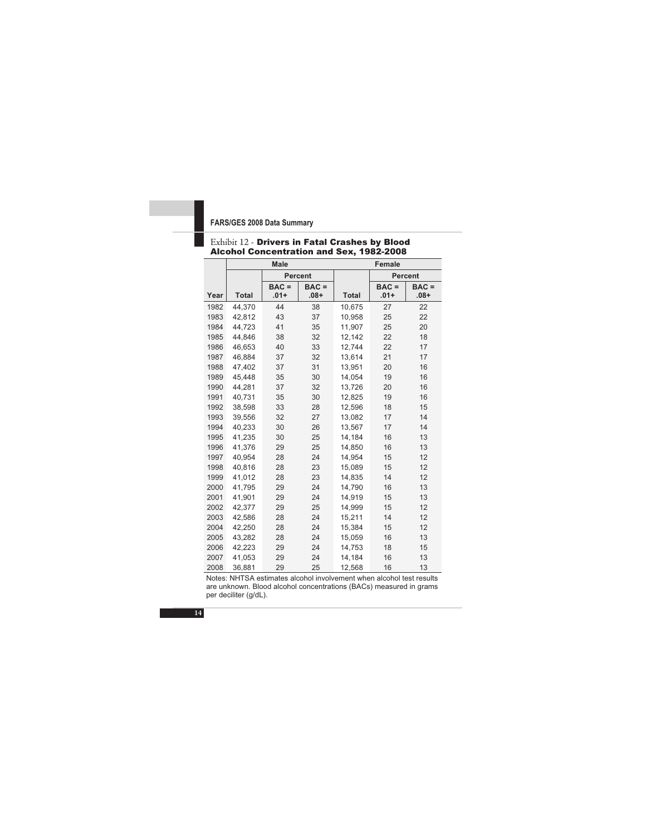|      |              | <b>Male</b>        |                    | Female       |                    |                   |  |  |  |  |
|------|--------------|--------------------|--------------------|--------------|--------------------|-------------------|--|--|--|--|
|      |              | <b>Percent</b>     |                    |              |                    | Percent           |  |  |  |  |
| Year | <b>Total</b> | $BAC =$<br>$.01 +$ | $BAC =$<br>$.08 +$ | <b>Total</b> | $BAC =$<br>$.01 +$ | $BAC =$<br>$+80.$ |  |  |  |  |
| 1982 | 44.370       | 44                 | 38                 | 10,675       | 27                 | 22                |  |  |  |  |
| 1983 | 42,812       | 43                 | 37                 | 10,958       | 25                 | 22                |  |  |  |  |
| 1984 | 44,723       | 41                 | 35                 | 11,907       | 25                 | 20                |  |  |  |  |
| 1985 | 44,846       | 38                 | 32                 | 12,142       | 22                 | 18                |  |  |  |  |
| 1986 | 46,653       | 40                 | 33                 | 12,744       | 22                 | 17                |  |  |  |  |
| 1987 | 46,884       | 37                 | 32                 | 13,614       | 21                 | 17                |  |  |  |  |
| 1988 | 47,402       | 37                 | 31                 | 13,951       | 20                 | 16                |  |  |  |  |
| 1989 | 45,448       | 35                 | 30                 | 14,054       | 19                 | 16                |  |  |  |  |
| 1990 | 44.281       | 37                 | 32                 | 13,726       | 20                 | 16                |  |  |  |  |
| 1991 | 40,731       | 35                 | 30                 | 12,825       | 19                 | 16                |  |  |  |  |
| 1992 | 38,598       | 33                 | 28                 | 12,596       | 18                 | 15                |  |  |  |  |
| 1993 | 39,556       | 32                 | 27                 | 13,082       | 17                 | 14                |  |  |  |  |
| 1994 | 40,233       | 30                 | 26                 | 13,567       | 17                 | 14                |  |  |  |  |
| 1995 | 41,235       | 30                 | 25                 | 14,184       | 16                 | 13                |  |  |  |  |
| 1996 | 41,376       | 29                 | 25                 | 14.850       | 16                 | 13                |  |  |  |  |
| 1997 | 40,954       | 28                 | 24                 | 14,954       | 15                 | 12                |  |  |  |  |
| 1998 | 40,816       | 28                 | 23                 | 15,089       | 15                 | 12                |  |  |  |  |
| 1999 | 41,012       | 28                 | 23                 | 14,835       | 14                 | 12                |  |  |  |  |
| 2000 | 41,795       | 29                 | 24                 | 14,790       | 16                 | 13                |  |  |  |  |
| 2001 | 41,901       | 29                 | 24                 | 14,919       | 15                 | 13                |  |  |  |  |
| 2002 | 42,377       | 29                 | 25                 | 14,999       | 15                 | 12                |  |  |  |  |
| 2003 | 42,586       | 28                 | 24                 | 15,211       | 14                 | 12                |  |  |  |  |
| 2004 | 42,250       | 28                 | 24                 | 15,384       | 15                 | 12                |  |  |  |  |
| 2005 | 43,282       | 28                 | 24                 | 15,059       | 16                 | 13                |  |  |  |  |
| 2006 | 42,223       | 29                 | 24                 | 14,753       | 18                 | 15                |  |  |  |  |
| 2007 | 41,053       | 29                 | 24                 | 14,184       | 16                 | 13                |  |  |  |  |
| 2008 | 36,881       | 29                 | 25                 | 12.568       | 16                 | 13                |  |  |  |  |

#### Exhibit 12 - Drivers in Fatal Crashes by Blood Alcohol Concentration and Sex, 1982-2008

Notes: NHTSA estimates alcohol involvement when alcohol test results are unknown. Blood alcohol concentrations (BACs) measured in grams per deciliter (g/dL).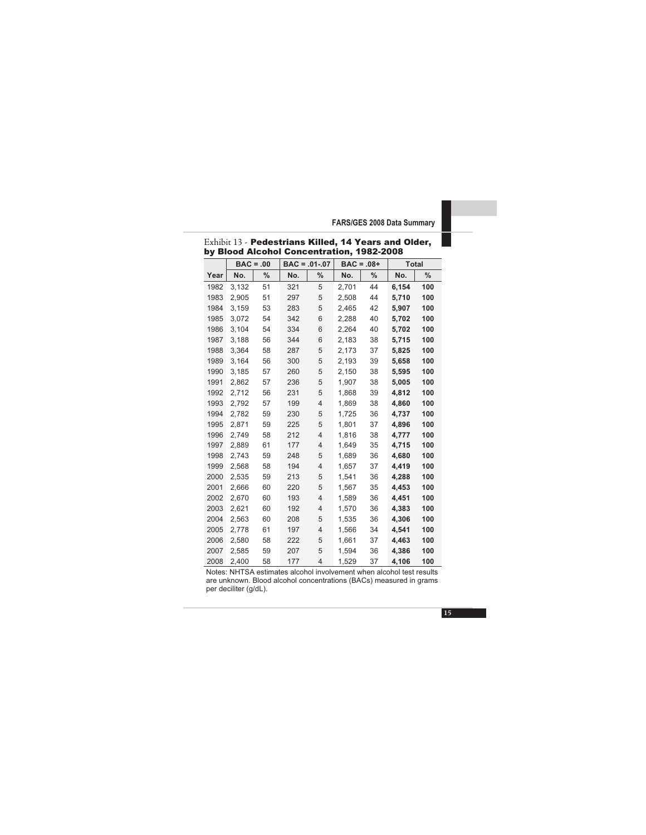|      |       | $BAC = .00$ |     | $BAC = .01-.07$ | $BAC = .08 +$ |      | <b>Total</b> |      |
|------|-------|-------------|-----|-----------------|---------------|------|--------------|------|
| Year | No.   | %           | No. | %               | No.           | $\%$ | No.          | $\%$ |
| 1982 | 3,132 | 51          | 321 | 5               | 2,701         | 44   | 6,154        | 100  |
| 1983 | 2,905 | 51          | 297 | 5               | 2,508         | 44   | 5,710        | 100  |
| 1984 | 3,159 | 53          | 283 | 5               | 2,465         | 42   | 5,907        | 100  |
| 1985 | 3,072 | 54          | 342 | 6               | 2,288         | 40   | 5,702        | 100  |
| 1986 | 3,104 | 54          | 334 | 6               | 2,264         | 40   | 5,702        | 100  |
| 1987 | 3,188 | 56          | 344 | 6               | 2,183         | 38   | 5,715        | 100  |
| 1988 | 3,364 | 58          | 287 | 5               | 2,173         | 37   | 5,825        | 100  |
| 1989 | 3,164 | 56          | 300 | 5               | 2.193         | 39   | 5,658        | 100  |
| 1990 | 3.185 | 57          | 260 | 5               | 2,150         | 38   | 5.595        | 100  |
| 1991 | 2,862 | 57          | 236 | 5               | 1,907         | 38   | 5,005        | 100  |
| 1992 | 2,712 | 56          | 231 | 5               | 1,868         | 39   | 4,812        | 100  |
| 1993 | 2,792 | 57          | 199 | 4               | 1,869         | 38   | 4,860        | 100  |
| 1994 | 2,782 | 59          | 230 | 5               | 1,725         | 36   | 4,737        | 100  |
| 1995 | 2,871 | 59          | 225 | 5               | 1,801         | 37   | 4,896        | 100  |
| 1996 | 2.749 | 58          | 212 | 4               | 1.816         | 38   | 4,777        | 100  |
| 1997 | 2.889 | 61          | 177 | $\overline{4}$  | 1,649         | 35   | 4,715        | 100  |
| 1998 | 2.743 | 59          | 248 | 5               | 1.689         | 36   | 4,680        | 100  |
| 1999 | 2,568 | 58          | 194 | $\overline{4}$  | 1.657         | 37   | 4,419        | 100  |
| 2000 | 2,535 | 59          | 213 | 5               | 1,541         | 36   | 4,288        | 100  |
| 2001 | 2,666 | 60          | 220 | 5               | 1,567         | 35   | 4,453        | 100  |
| 2002 | 2,670 | 60          | 193 | 4               | 1,589         | 36   | 4,451        | 100  |
| 2003 | 2,621 | 60          | 192 | 4               | 1,570         | 36   | 4,383        | 100  |
| 2004 | 2,563 | 60          | 208 | 5               | 1,535         | 36   | 4,306        | 100  |
| 2005 | 2,778 | 61          | 197 | 4               | 1,566         | 34   | 4,541        | 100  |
| 2006 | 2,580 | 58          | 222 | 5               | 1,661         | 37   | 4,463        | 100  |
| 2007 | 2,585 | 59          | 207 | 5               | 1,594         | 36   | 4,386        | 100  |
| 2008 | 2,400 | 58          | 177 | 4               | 1,529         | 37   | 4,106        | 100  |

Exhibit 13 - Pedestrians Killed, 14 Years and Older, by Blood Alcohol Concentration, 1982-2008

Notes: NHTSA estimates alcohol involvement when alcohol test results are unknown. Blood alcohol concentrations (BACs) measured in grams per deciliter (g/dL).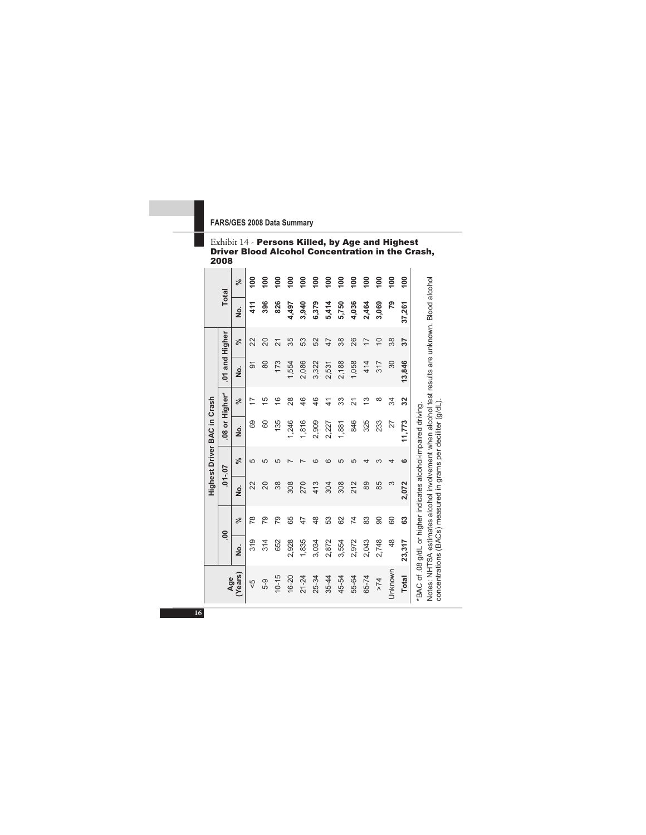#### Exhibit 14 - Persons Killed, by Age and Highest Driver Blood Alcohol Concentration in the Crash, 2008

|                             |                | ಸ್            | $\frac{8}{1}$ | $\frac{8}{1}$ | $\frac{8}{1}$ | $\frac{8}{1}$ | $\frac{8}{1}$ | $\frac{8}{1}$ | $\frac{8}{1}$ | $\frac{8}{100}$ | $\frac{8}{100}$ | $\frac{8}{100}$ | $\frac{8}{100}$ | $\frac{8}{100}$ | $\frac{8}{1}$ |                                                                                                                                                                   |
|-----------------------------|----------------|---------------|---------------|---------------|---------------|---------------|---------------|---------------|---------------|-----------------|-----------------|-----------------|-----------------|-----------------|---------------|-------------------------------------------------------------------------------------------------------------------------------------------------------------------|
|                             | <b>Total</b>   | ġ             | 411           | 396           | 826           | 4,497         | 3,940         | 6,379         | 5,414         | 5,750           | 4,036           | 2,464           | 3,069           | 54              | 37,261        |                                                                                                                                                                   |
|                             |                | ಸ್            | 22            | 20            | ಸ             | 35            | S3            | 52            | 47            | 38              | 26              | 17              | $\overline{C}$  | 38              | 57            |                                                                                                                                                                   |
|                             | .01 and Higher | $\frac{1}{2}$ | ଚ             | 80            | 173           | 1,554         | 2,086         | 3,322         | 2,531         | 2,188           | 1,058           | 414             | 317             | 30              | 13,846        |                                                                                                                                                                   |
|                             |                | ಸ್            | Þ             | 15            | $\frac{6}{2}$ | 28            | 46            | 46            | $\frac{4}{3}$ | 33              | ត               | ≌               | ∞               | 34              | 32            |                                                                                                                                                                   |
| Highest Driver BAC in Crash | 08 or Higher*  | ġ             | 69            | 60            | 135           | 1,246         | 1,816         | 2,909         | 2,227         | 1,881           | 846             | 325             | 233             | 27              | 11.773        |                                                                                                                                                                   |
|                             |                | ى<br>ج        | 5             |               | LΠ            |               |               |               |               | L٢              | 5               |                 |                 |                 | ဖ             |                                                                                                                                                                   |
|                             | $70 - 10.$     | $\frac{1}{2}$ | 22            | 20            | 38            | 308           | 270           | 413           | 304           | 308             | 212             | 89              | 85              | 3               | 2,072         |                                                                                                                                                                   |
|                             |                | ಸ್            | $\frac{8}{1}$ | 79            | 79            | 65            | 47            | 48            | 53            | 62              | 74              | 83              | 90              | 60              | C3            |                                                                                                                                                                   |
|                             | $\overline{0}$ | ş             | 319           | 314           | 652           | 2,928         | 1,835         | 3,034         | 2,872         | 3,554           | 2,972           | 2,043           | 2,748           | 48              | 23,317        |                                                                                                                                                                   |
|                             | Age            | (Years        | 45            | 5-9           | $10 - 15$     | $16 - 20$     | $21 - 24$     | 25-34         | $35 - 44$     | 45-54           | 55-64           | 65-74           | >74             | Unknown         | <b>Total</b>  | Notes: NHTSA estimates alcohol involvement when alcohol test results are unknown. Blood alcohol<br>*BAC of .08 g/dL or higher indicates alcohol-impaired driving. |

concentrations (BACs) measured in grams per deciliter (g/dL). concentrations (BACs) measured in grams per deciliter (g/dL).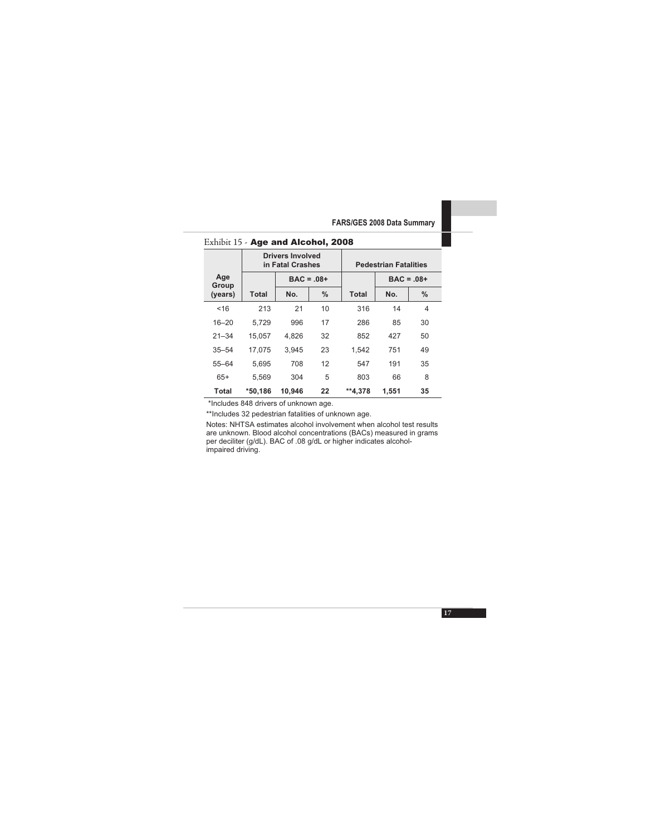|              |         | Drivers Involved<br>in Fatal Crashes |              |              | <b>Pedestrian Fatalities</b> |      |  |  |
|--------------|---------|--------------------------------------|--------------|--------------|------------------------------|------|--|--|
| Age<br>Group |         |                                      | $BAC = .08+$ |              | $BAC = .08 +$                |      |  |  |
| (years)      | Total   | No.                                  | $\%$         | <b>Total</b> | No.                          | $\%$ |  |  |
| <16          | 213     | 21                                   | 10           | 316          | 14                           | 4    |  |  |
| $16 - 20$    | 5.729   | 996                                  | 17           | 286          | 85                           | 30   |  |  |
| $21 - 34$    | 15.057  | 4.826                                | 32           | 852          | 427                          | 50   |  |  |
| $35 - 54$    | 17.075  | 3.945                                | 23           | 1.542        | 751                          | 49   |  |  |
| $55 - 64$    | 5.695   | 708                                  | 12           | 547          | 191                          | 35   |  |  |
| $65+$        | 5.569   | 304                                  | 5            | 803          | 66                           | 8    |  |  |
| Total        | *50.186 | 10.946                               | 22           | **4.378      | 1.551                        | 35   |  |  |

#### Exhibit 15 - Age and Alcohol, 2008

\*Includes 848 drivers of unknown age.

\*\*Includes 32 pedestrian fatalities of unknown age.

Notes: NHTSA estimates alcohol involvement when alcohol test results are unknown. Blood alcohol concentrations (BACs) measured in grams per deciliter (g/dL). BAC of .08 g/dL or higher indicates alcoholimpaired driving.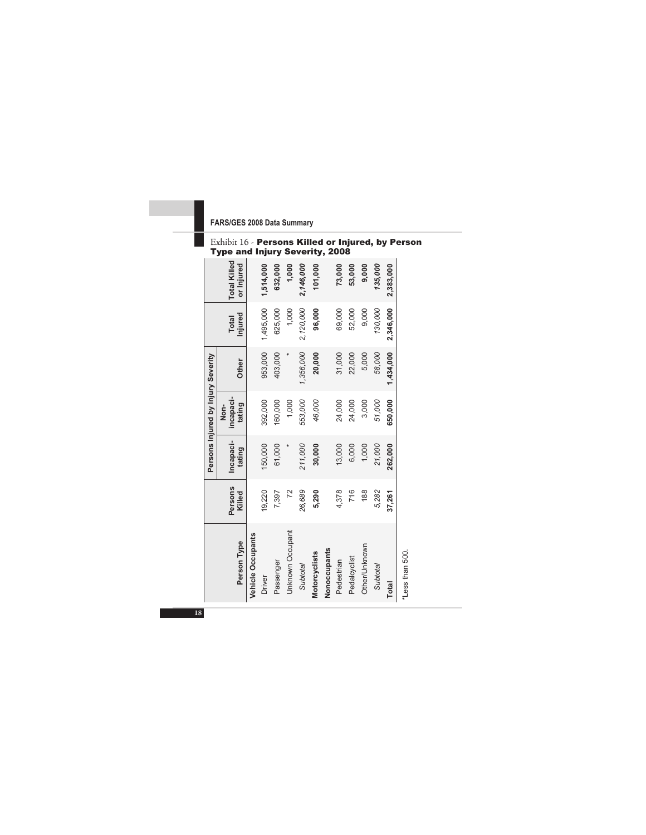#### Exhibit 16 - Persons Killed or Injured, by Person Type and Injury Severity, 2008

|                                    | <b>Total Killed</b><br>or Injured |                   | 1,514,000 | 632,000   | 1,000            | 2,146,000       | 101,000       |              | 73,000     | 53,000       | 9,000         | 135,000  | 2,383,000 |
|------------------------------------|-----------------------------------|-------------------|-----------|-----------|------------------|-----------------|---------------|--------------|------------|--------------|---------------|----------|-----------|
|                                    | Injured<br><b>Total</b>           |                   | 1,495,000 | 625,000   | 1,000            | 2,120,000       | 96,000        |              | 69,000     | 52,000       | 9,000         | 130,000  | 2,346,000 |
|                                    | <b>Other</b>                      |                   | 953,000   | 403,000   |                  | 1,356,000       | 20,000        |              | 31,000     | 22,000       | 5,000         | 58,000   | 1,434,000 |
| Persons Injured by Injury Severity | incapaci-<br>tating<br>Non-       |                   | 392,000   | 160,000   | 1,000            | 553,000         | 46,000        |              | 24,000     | 24,000       | 3,000         | 51,000   | 650,000   |
|                                    | Incapaci-<br>tating               |                   | 150,000   | 61,000    |                  | 211,000         | 30,000        |              | 13,000     | 6,000        | 1,000         | 21,000   | 262,000   |
|                                    | Persons<br>Killed                 |                   | 19,220    | 7,397     | 72               | 26,689          | 5,290         |              | 4,378      | 716          | 188           | 5,282    | 37,261    |
|                                    | Person Type                       | Vehicle Occupants | Driver    | Passenger | Unknown Occupant | <b>Subtotal</b> | Motorcyclists | Nonoccupants | Pedestrian | Pedalcyclist | Other/Unknown | Subtotal | Total     |

\*Less than 500. \*Less than 500.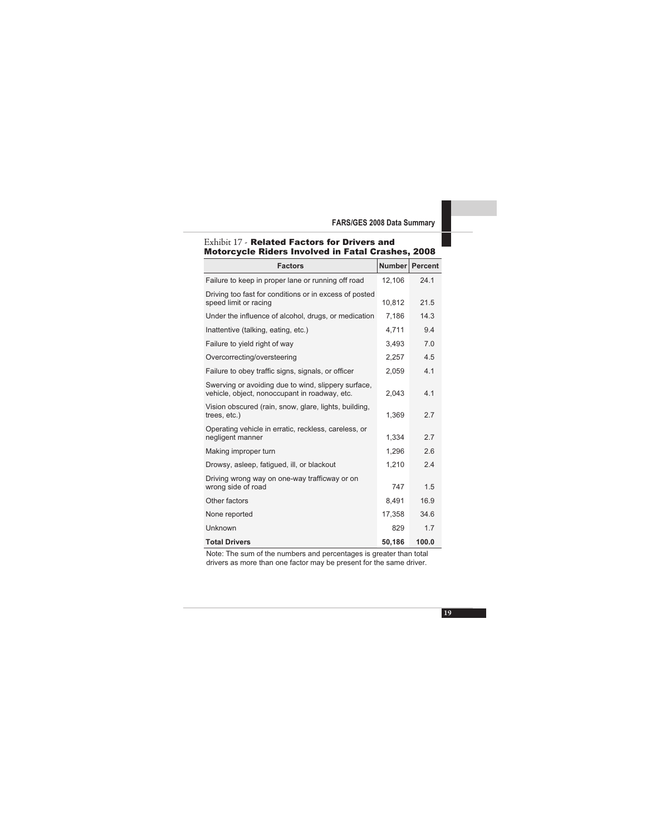| Motorcycle Riders Involved in Fatal Crashes, 2008                                                    |        |                |
|------------------------------------------------------------------------------------------------------|--------|----------------|
| <b>Factors</b>                                                                                       |        | Number Percent |
| Failure to keep in proper lane or running off road                                                   | 12,106 | 24.1           |
| Driving too fast for conditions or in excess of posted<br>speed limit or racing                      | 10,812 | 21.5           |
| Under the influence of alcohol, drugs, or medication                                                 | 7,186  | 14.3           |
| Inattentive (talking, eating, etc.)                                                                  | 4.711  | 9.4            |
| Failure to yield right of way                                                                        | 3,493  | 7.0            |
| Overcorrecting/oversteering                                                                          | 2,257  | 4.5            |
| Failure to obey traffic signs, signals, or officer                                                   | 2,059  | 4.1            |
| Swerving or avoiding due to wind, slippery surface,<br>vehicle, object, nonoccupant in roadway, etc. | 2,043  | 4.1            |
| Vision obscured (rain, snow, glare, lights, building,<br>trees, etc.)                                | 1,369  | 2.7            |
| Operating vehicle in erratic, reckless, careless, or<br>negligent manner                             | 1,334  | 2.7            |
| Making improper turn                                                                                 | 1,296  | 2.6            |
| Drowsy, asleep, fatiqued, ill, or blackout                                                           | 1,210  | 2.4            |
| Driving wrong way on one-way trafficway or on<br>wrong side of road                                  | 747    | 1.5            |
| Other factors                                                                                        | 8,491  | 16.9           |
| None reported                                                                                        | 17,358 | 34.6           |
| Unknown                                                                                              | 829    | 1.7            |
| <b>Total Drivers</b>                                                                                 | 50,186 | 100.0          |

#### Exhibit 17 - Related Factors for Drivers and Motorcycle Riders Involved in Fatal Crashes, 2008

Note: The sum of the numbers and percentages is greater than total drivers as more than one factor may be present for the same driver.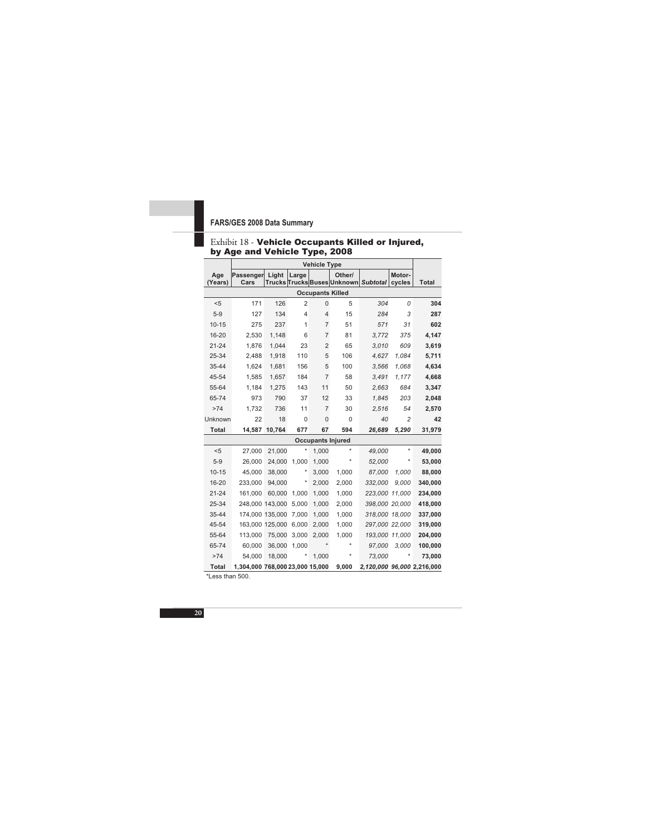|                |                                 |        |                | <b>Vehicle Type</b>     |                          |                                      |                  |                            |
|----------------|---------------------------------|--------|----------------|-------------------------|--------------------------|--------------------------------------|------------------|----------------------------|
| Age<br>(Years) | Passenger<br>Cars               | Light  | Large          |                         | Other/                   | Trucks Trucks Buses Unknown Subtotal | Motor-<br>cycles | <b>Total</b>               |
|                |                                 |        |                | <b>Occupants Killed</b> |                          |                                      |                  |                            |
| $5$            | 171                             | 126    | $\overline{2}$ | $\mathbf{0}$            | 5                        | 304                                  | 0                | 304                        |
| $5-9$          | 127                             | 134    | 4              | 4                       | 15                       | 284                                  | 3                | 287                        |
| $10 - 15$      | 275                             | 237    | 1              | $\overline{7}$          | 51                       | 571                                  | 31               | 602                        |
| 16-20          | 2,530                           | 1,148  | 6              | $\overline{7}$          | 81                       | 3,772                                | 375              | 4,147                      |
| $21 - 24$      | 1.876                           | 1.044  | 23             | $\overline{2}$          | 65                       | 3.010                                | 609              | 3,619                      |
| 25-34          | 2.488                           | 1,918  | 110            | 5                       | 106                      | 4,627                                | 1.084            | 5,711                      |
| 35-44          | 1,624                           | 1,681  | 156            | 5                       | 100                      | 3,566                                | 1,068            | 4,634                      |
| 45-54          | 1,585                           | 1,657  | 184            | $\overline{7}$          | 58                       | 3,491                                | 1,177            | 4,668                      |
| 55-64          | 1.184                           | 1.275  | 143            | 11                      | 50                       | 2.663                                | 684              | 3,347                      |
| 65-74          | 973                             | 790    | 37             | 12                      | 33                       | 1,845                                | 203              | 2,048                      |
| >74            | 1.732                           | 736    | 11             | $\overline{7}$          | 30                       | 2,516                                | 54               | 2,570                      |
| Unknown        | 22                              | 18     | $\mathbf 0$    | $\mathbf 0$             | $\Omega$                 | 40                                   | $\overline{2}$   | 42                         |
| <b>Total</b>   | 14,587                          | 10,764 | 677            | 67                      | 594                      | 26,689                               | 5,290            | 31,979                     |
|                |                                 |        |                |                         | <b>Occupants Injured</b> |                                      |                  |                            |
| < 5            | 27,000                          | 21,000 | ×              | 1,000                   | ÷                        | 49,000                               | $\star$          | 49,000                     |
| $5-9$          | 26,000                          | 24,000 | 1.000          | 1,000                   |                          | 52,000                               | $^\star$         | 53,000                     |
| $10 - 15$      | 45,000                          | 38,000 | $^{\star}$     | 3,000                   | 1.000                    | 87.000                               | 1.000            | 88,000                     |
| 16-20          | 233,000                         | 94,000 | ×              | 2,000                   | 2,000                    | 332,000                              | 9,000            | 340,000                    |
| $21 - 24$      | 161,000                         | 60,000 | 1,000          | 1,000                   | 1,000                    | 223,000 11,000                       |                  | 234,000                    |
| 25-34          | 248,000 143,000                 |        | 5,000          | 1,000                   | 2,000                    | 398,000 20,000                       |                  | 418,000                    |
| 35-44          | 174,000 135,000                 |        | 7.000          | 1.000                   | 1.000                    | 318,000 18,000                       |                  | 337,000                    |
| 45-54          | 163,000 125,000                 |        | 6,000          | 2,000                   | 1,000                    | 297,000 22,000                       |                  | 319,000                    |
| 55-64          | 113,000                         | 75,000 | 3,000          | 2,000                   | 1,000                    | 193,000 11,000                       |                  | 204,000                    |
| 65-74          | 60,000                          | 36,000 | 1,000          |                         | $\star$                  | 97,000                               | 3,000            | 100,000                    |
| >74            | 54,000                          | 18,000 | ×              | 1,000                   |                          | 73,000                               |                  | 73,000                     |
| <b>Total</b>   | 1,304,000 768,000 23,000 15,000 |        |                |                         | 9,000                    |                                      |                  | 2,120,000 96,000 2,216,000 |

#### Exhibit 18 - Vehicle Occupants Killed or Injured, by Age and Vehicle Type, 2008

\*Less than 500.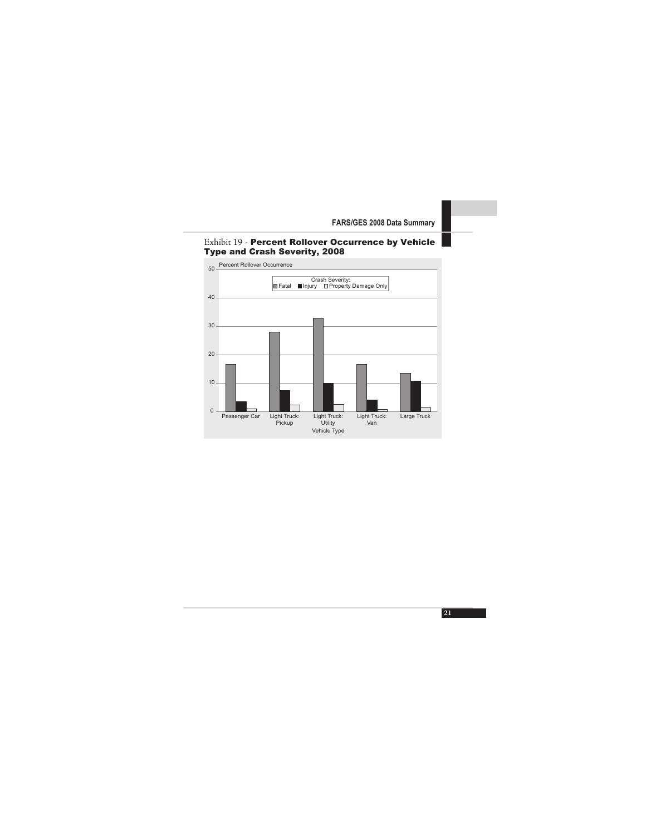

#### Exhibit 19 - Percent Rollover Occurrence by Vehicle Type and Crash Severity, 2008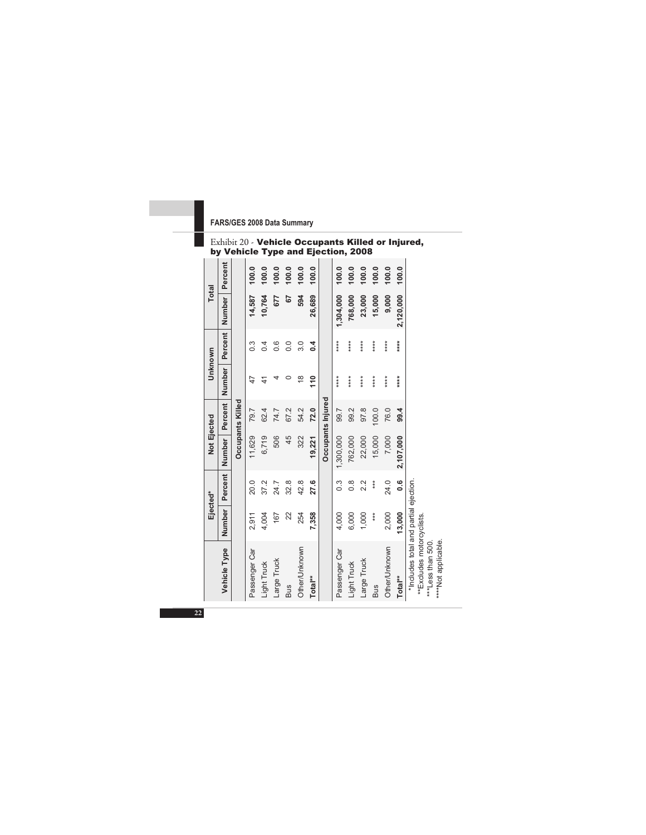#### Exhibit 20 - Vehicle Occupants Killed or Injured, by Vehicle Type and Ejection, 2008

| <b>Total</b> | Percent       |                  | 100.0            | 100.0         | 100.0<br>677 | 100.0<br>57 | 100.0<br>594  | 100.0      |                   | 100.0         | 100.0         | 100.0       | 100.0      | 100.0         | 100.0       |                                                                    |
|--------------|---------------|------------------|------------------|---------------|--------------|-------------|---------------|------------|-------------------|---------------|---------------|-------------|------------|---------------|-------------|--------------------------------------------------------------------|
|              | Number        |                  | 14,587           | 10,764        |              |             |               | 26,689     |                   | 1,304,000     | 768,000       | 23,000      | 15,000     | 9,000         | 2,120,000   |                                                                    |
| Unknown      | Percent       |                  | $0.\overline{3}$ | 0.4           | 0.6          | 0.0         | 3.0           | $\ddot{ }$ |                   | ****          | $***$         | *****       | *****      | *****         | ****        |                                                                    |
|              | <b>Number</b> |                  | 4                | $\frac{4}{1}$ |              |             | $\frac{8}{1}$ | 110        |                   | ****          | ****          | *****       | ****       | *****         | $***$       |                                                                    |
|              | Percent       | Occupants Killed | 79.7             | 62.4          | 74.7         | 67.2        | 54.2          | 72.0       | Occupants Injured | 99.7          | 99.2          | 97.8        | 100.0      | 76.0          | 99.4        |                                                                    |
| Not Ejected  | Number        |                  | 11,629           | 6,719         | 506          | 45          | 322           | 19,221     |                   | 1,300,000     | 762,000       | 22,000      | 15,000     | 7,000         | 2,107,000   |                                                                    |
|              | Percent       |                  | 20.0             | 37.2          | 24.7         | 32.8        | 42.8          | 27.6       |                   | $\frac{3}{2}$ | $\frac{8}{1}$ | 2.2         | $***$      | 24.0          | <u>0</u> .6 |                                                                    |
| Ejected*     | Number        |                  | 2,911            | 4,004         | 167          | 22          | 254           | 7,358      |                   | 4,000         | 6,000         | 1,000       | ***        | 2,000         | 13,000      |                                                                    |
|              | Vehicle Type  |                  | Passenger Car    | Light Truck   | Large Truck  | <b>Bus</b>  | Other/Unknown | Total**    |                   | Passenger Car | Light Truck   | Large Truck | <b>Bus</b> | Other/Unknown | Total**     | *Includes total and partial ejection.<br>**Excludes motorcyclists. |

\*\*Excludes motorcyclists. \*\*\*Less than 500. \*\*\*\*Not applicable.

\*\*\*Less than 500.<br>\*\*\*\*Not applicable.

**22**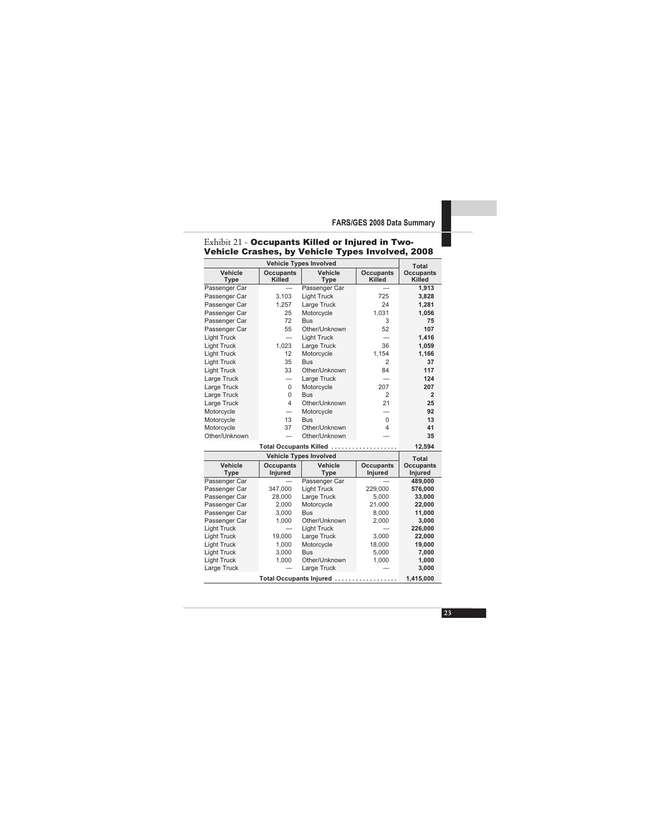|                         |                                   | Total                         |                             |                             |
|-------------------------|-----------------------------------|-------------------------------|-----------------------------|-----------------------------|
| Vehicle<br><b>Type</b>  | <b>Occupants</b><br><b>Killed</b> | Vehicle<br>Type               | <b>Occupants</b><br>Killed  | Occupants<br><b>Killed</b>  |
| Passenger Car           |                                   | Passenger Car                 |                             | 1.913                       |
| Passenger Car           | 3.103                             | <b>Light Truck</b>            | 725                         | 3,828                       |
| Passenger Car           | 1.257                             | Large Truck                   | 24                          | 1,281                       |
| Passenger Car           | 25                                | Motorcycle                    | 1.031                       | 1,056                       |
| Passenger Car           | 72                                | <b>Bus</b>                    | 3                           | 75                          |
| Passenger Car           | 55                                | Other/Unknown                 | 52                          | 107                         |
| <b>Light Truck</b>      | $\overline{\phantom{0}}$          | <b>Light Truck</b>            |                             | 1,416                       |
| <b>Light Truck</b>      | 1.023                             | Large Truck                   | 36                          | 1,059                       |
| <b>Light Truck</b>      | 12                                | Motorcycle                    | 1.154                       | 1,166                       |
| <b>Light Truck</b>      | 35                                | <b>Bus</b>                    | $\overline{2}$              | 37                          |
| <b>Light Truck</b>      | 33                                | Other/Unknown                 | 84                          | 117                         |
| Large Truck             |                                   | Large Truck                   |                             | 124                         |
| Large Truck             | 0                                 | Motorcycle                    | 207                         | 207                         |
| Large Truck             | 0                                 | <b>Bus</b>                    | $\overline{2}$              | $\mathfrak{p}$              |
| Large Truck             | 4                                 | Other/Unknown                 | 21                          | 25                          |
| Motorcycle              |                                   | Motorcycle                    |                             | 92                          |
| Motorcycle              | 13                                | <b>Bus</b>                    | $\Omega$                    | 13                          |
| Motorcycle              | 37                                | Other/Unknown                 | 4                           | 41                          |
| Other/Unknown           |                                   | Other/Unknown                 |                             | 35                          |
|                         |                                   | Total Occupants Killed        |                             | 12,594                      |
|                         |                                   | <b>Vehicle Types Involved</b> |                             | Total                       |
| Vehicle<br><b>Type</b>  | <b>Occupants</b><br>Injured       | Vehicle<br>Type               | <b>Occupants</b><br>Injured | <b>Occupants</b><br>Injured |
| Passenger Car           |                                   | Passenger Car                 |                             | 489,000                     |
| Passenger Car           | 347,000                           | <b>Light Truck</b>            | 229,000                     | 576,000                     |
| Passenger Car           | 28.000                            | Large Truck                   | 5.000                       | 33.000                      |
| Passenger Car           | 2.000                             | Motorcycle                    | 21,000                      | 22,000                      |
| Passenger Car           | 3.000                             | <b>Bus</b>                    | 8.000                       | 11,000                      |
| Passenger Car           | 1.000                             | Other/Unknown                 | 2.000                       | 3.000                       |
| <b>Light Truck</b>      |                                   | <b>Light Truck</b>            |                             | 226,000                     |
| <b>Light Truck</b>      | 19,000                            | Large Truck                   | 3,000                       | 22,000                      |
| <b>Light Truck</b>      | 1.000                             | Motorcycle                    | 18,000                      | 19,000                      |
| <b>Light Truck</b>      | 3,000                             | <b>Bus</b>                    | 5,000                       | 7,000                       |
| <b>Light Truck</b>      | 1.000                             | Other/Unknown                 | 1,000                       | 1,000                       |
| Large Truck             |                                   | Large Truck                   |                             | 3.000                       |
| Total Occupants Injured | 1,415,000                         |                               |                             |                             |

#### Exhibit 21 - Occupants Killed or Injured in Two-Vehicle Crashes, by Vehicle Types Involved, 2008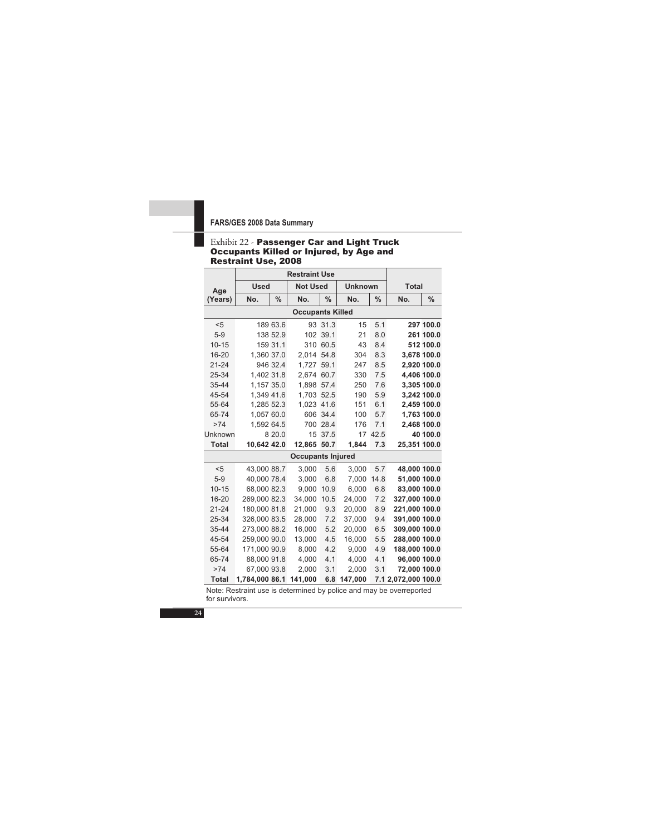#### Exhibit 22 - Passenger Car and Light Truck Occupants Killed or Injured, by Age and Restraint Use, 2008

|              |                | <b>Restraint Use</b> |                          |               |                |               |                     |               |
|--------------|----------------|----------------------|--------------------------|---------------|----------------|---------------|---------------------|---------------|
| Age          | <b>Used</b>    |                      | <b>Not Used</b>          |               | <b>Unknown</b> |               | <b>Total</b>        |               |
| (Years)      | No.            | $\frac{0}{0}$        | No.                      | $\frac{0}{0}$ | No.            | $\frac{0}{0}$ | No.                 | $\frac{0}{0}$ |
|              |                |                      | <b>Occupants Killed</b>  |               |                |               |                     |               |
| $5$          |                | 189 63.6             |                          | 93 31.3       | 15             | 5.1           |                     | 297 100.0     |
| $5-9$        |                | 138 52.9             |                          | 102 39.1      | 21             | 8.0           |                     | 261 100.0     |
| $10 - 15$    |                | 159 31.1             |                          | 310 60.5      | 43             | 8.4           |                     | 512 100.0     |
| 16-20        | 1,360 37.0     |                      | 2.014 54.8               |               | 304            | 8.3           |                     | 3,678 100.0   |
| $21 - 24$    |                | 946 32.4             | 1.727 59.1               |               | 247            | 8.5           |                     | 2.920 100.0   |
| 25-34        | 1,402 31.8     |                      | 2.674 60.7               |               | 330            | 7.5           | 4,406 100.0         |               |
| 35-44        | 1,157 35.0     |                      | 1.898 57.4               |               | 250            | 7.6           |                     | 3,305 100.0   |
| 45-54        | 1,349 41.6     |                      | 1,703 52.5               |               | 190            | 5.9           |                     | 3,242 100.0   |
| 55-64        | 1,285 52.3     |                      | 1.023 41.6               |               | 151            | 6.1           |                     | 2,459 100.0   |
| 65-74        | 1.057 60.0     |                      |                          | 606 34.4      | 100            | 5.7           |                     | 1.763 100.0   |
| >74          | 1,592 64.5     |                      |                          | 700 28.4      | 176            | 7.1           | 2,468 100.0         |               |
| Unknown      |                | 8 20.0               |                          | 15 37.5       | 17             | 42.5          |                     | 40 100.0      |
| <b>Total</b> | 10,642 42.0    |                      | 12,865 50.7              |               | 1,844          | 7.3           | 25,351 100.0        |               |
|              |                |                      | <b>Occupants Injured</b> |               |                |               |                     |               |
| $5$          | 43,000 88.7    |                      | 3,000                    | 5.6           | 3,000          | 5.7           | 48,000 100.0        |               |
| $5-9$        | 40,000 78.4    |                      | 3,000                    | 6.8           | 7,000          | 14.8          | 51,000 100.0        |               |
| $10 - 15$    | 68.000 82.3    |                      | 9.000                    | 10.9          | 6.000          | 6.8           | 83,000 100.0        |               |
| 16-20        | 269,000 82.3   |                      | 34,000                   | 10.5          | 24,000         | 7.2           | 327,000 100.0       |               |
| $21 - 24$    | 180.000 81.8   |                      | 21.000                   | 9.3           | 20,000         | 8.9           | 221,000 100.0       |               |
| 25-34        | 326.000 83.5   |                      | 28,000                   | 7.2           | 37.000         | 9.4           | 391.000 100.0       |               |
| 35-44        | 273,000 88.2   |                      | 16,000                   | 5.2           | 20,000         | 6.5           | 309,000 100.0       |               |
| 45-54        | 259.000 90.0   |                      | 13.000                   | 4.5           | 16.000         | 5.5           | 288.000 100.0       |               |
| 55-64        | 171,000 90.9   |                      | 8,000                    | 4.2           | 9,000          | 4.9           | 188,000 100.0       |               |
| 65-74        | 88,000 91.8    |                      | 4,000                    | 4.1           | 4,000          | 4.1           | 96,000 100.0        |               |
| >74          | 67,000 93.8    |                      | 2.000                    | 3.1           | 2.000          | 3.1           | 72.000 100.0        |               |
| <b>Total</b> | 1,784,000 86.1 |                      | 141,000                  | 6.8           | 147,000        |               | 7.1 2,072,000 100.0 |               |

Note: Restraint use is determined by police and may be overreported for survivors.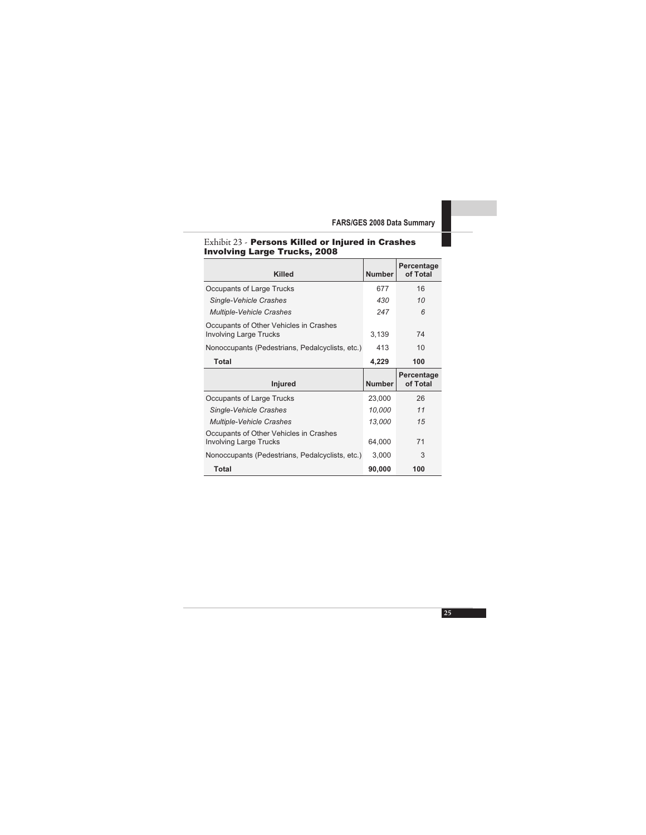| Involving Large Trucks, Zuvo                                            |               |                        |
|-------------------------------------------------------------------------|---------------|------------------------|
| <b>Killed</b>                                                           | <b>Number</b> | Percentage<br>of Total |
| Occupants of Large Trucks                                               | 677           | 16                     |
| Single-Vehicle Crashes                                                  | 430           | 10                     |
| Multiple-Vehicle Crashes                                                | 247           | 6                      |
| Occupants of Other Vehicles in Crashes<br><b>Involving Large Trucks</b> | 3,139         | 74                     |
| Nonoccupants (Pedestrians, Pedalcyclists, etc.)                         | 413           | 10                     |
| Total                                                                   | 4,229         | 100                    |
| <b>Injured</b>                                                          | <b>Number</b> | Percentage<br>of Total |
| Occupants of Large Trucks                                               | 23,000        | 26                     |
| Single-Vehicle Crashes                                                  | 10,000        | 11                     |
| Multiple-Vehicle Crashes                                                | 13,000        | 15                     |
| Occupants of Other Vehicles in Crashes<br><b>Involving Large Trucks</b> | 64,000        | 71                     |
| Nonoccupants (Pedestrians, Pedalcyclists, etc.)                         | 3,000         | 3                      |
| <b>Total</b>                                                            | 90,000        | 100                    |

#### Exhibit 23 - Persons Killed or Injured in Crashes Involving Large Trucks, 2008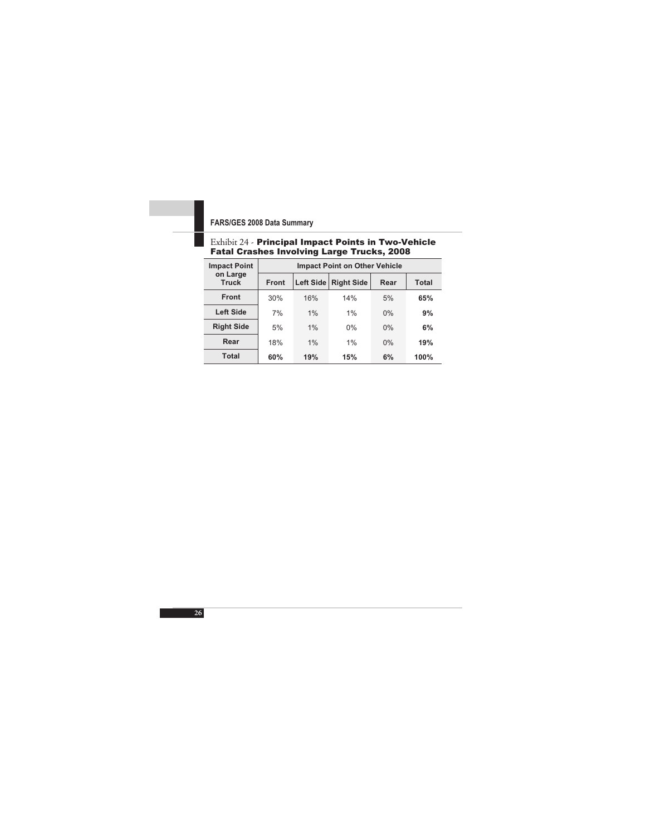#### Exhibit 24 - Principal Impact Points in Two-Vehicle Fatal Crashes Involving Large Trucks, 2008

| <b>Impact Point</b>      | <b>Impact Point on Other Vehicle</b> |           |                   |       |              |  |
|--------------------------|--------------------------------------|-----------|-------------------|-------|--------------|--|
| on Large<br><b>Truck</b> | Front                                | Left Side | <b>Right Side</b> | Rear  | <b>Total</b> |  |
| <b>Front</b>             | 30%                                  | 16%       | 14%               | 5%    | 65%          |  |
| <b>Left Side</b>         | 7%                                   | 1%        | 1%                | 0%    | 9%           |  |
| <b>Right Side</b>        | 5%                                   | 1%        | 0%                | $0\%$ | 6%           |  |
| Rear                     | 18%                                  | 1%        | 1%                | $0\%$ | 19%          |  |
| Total                    | 60%                                  | 19%       | 15%               | 6%    | 100%         |  |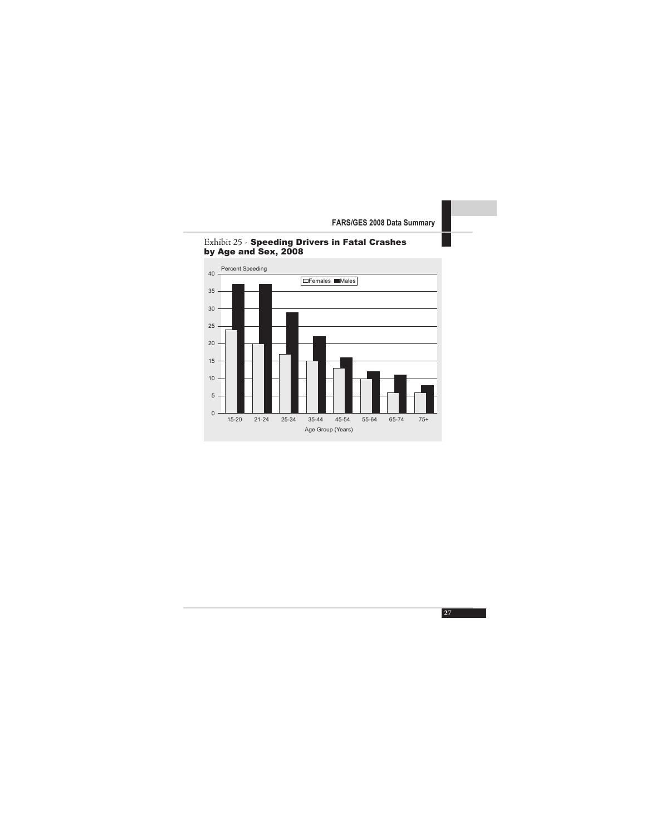

#### Exhibit 25 - Speeding Drivers in Fatal Crashes by Age and Sex, 2008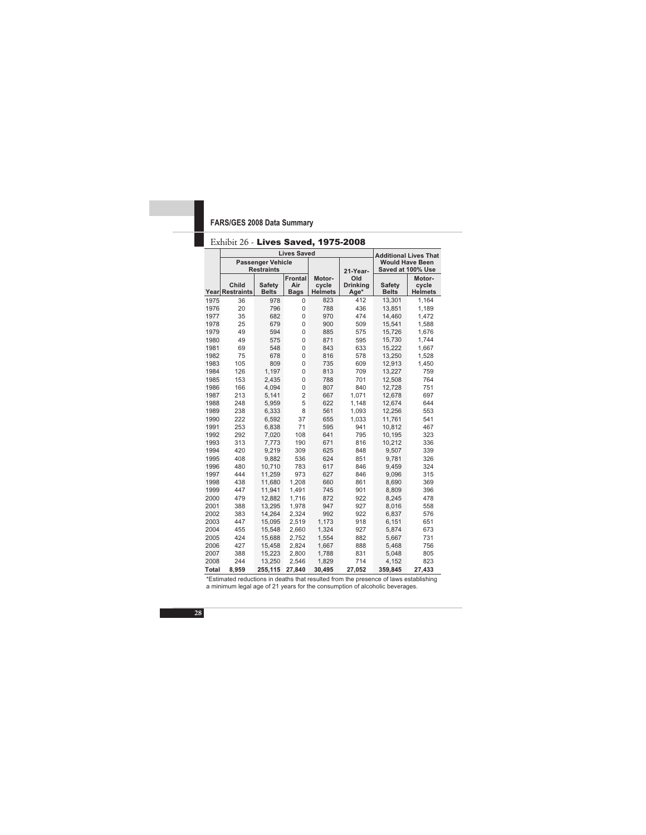#### Exhibit 26 - Lives Saved, 1975-2008

|              | <b>Lives Saved</b>                            |                               |                                      |                                   | <b>Additional Lives That</b>          |                                             |                                   |
|--------------|-----------------------------------------------|-------------------------------|--------------------------------------|-----------------------------------|---------------------------------------|---------------------------------------------|-----------------------------------|
|              | <b>Passenger Vehicle</b><br><b>Restraints</b> |                               |                                      |                                   | 21-Year-                              | <b>Would Have Been</b><br>Saved at 100% Use |                                   |
|              | Child<br>Year Restraints                      | <b>Safety</b><br><b>Belts</b> | <b>Frontal</b><br>Air<br><b>Bags</b> | Motor-<br>cycle<br><b>Helmets</b> | <b>Old</b><br><b>Drinking</b><br>Age* | <b>Safety</b><br><b>Belts</b>               | Motor-<br>cycle<br><b>Helmets</b> |
| 1975         | 36                                            | 978                           | 0                                    | 823                               | 412                                   | 13,301                                      | 1,164                             |
| 1976         | 20                                            | 796                           | $\mathbf 0$                          | 788                               | 436                                   | 13,851                                      | 1,189                             |
| 1977         | 35                                            | 682                           | 0                                    | 970                               | 474                                   | 14,460                                      | 1,472                             |
| 1978         | 25                                            | 679                           | 0                                    | 900                               | 509                                   | 15.541                                      | 1,588                             |
| 1979         | 49                                            | 594                           | 0                                    | 885                               | 575                                   | 15,726                                      | 1,676                             |
| 1980         | 49                                            | 575                           | 0                                    | 871                               | 595                                   | 15,730                                      | 1,744                             |
| 1981         | 69                                            | 548                           | 0                                    | 843                               | 633                                   | 15,222                                      | 1,667                             |
| 1982         | 75                                            | 678                           | 0                                    | 816                               | 578                                   | 13,250                                      | 1,528                             |
| 1983         | 105                                           | 809                           | 0                                    | 735                               | 609                                   | 12,913                                      | 1,450                             |
| 1984         | 126                                           | 1,197                         | 0                                    | 813                               | 709                                   | 13,227                                      | 759                               |
| 1985         | 153                                           | 2,435                         | 0                                    | 788                               | 701                                   | 12,508                                      | 764                               |
| 1986         | 166                                           | 4,094                         | 0                                    | 807                               | 840                                   | 12,728                                      | 751                               |
| 1987         | 213                                           | 5,141                         | $\overline{c}$                       | 667                               | 1,071                                 | 12,678                                      | 697                               |
| 1988         | 248                                           | 5,959                         | 5                                    | 622                               | 1.148                                 | 12,674                                      | 644                               |
| 1989         | 238                                           | 6,333                         | 8                                    | 561                               | 1,093                                 | 12,256                                      | 553                               |
| 1990         | 222                                           | 6,592                         | 37                                   | 655                               | 1,033                                 | 11,761                                      | 541                               |
| 1991         | 253                                           | 6,838                         | 71                                   | 595                               | 941                                   | 10,812                                      | 467                               |
| 1992         | 292                                           | 7,020                         | 108                                  | 641                               | 795                                   | 10,195                                      | 323                               |
| 1993         | 313                                           | 7,773                         | 190                                  | 671                               | 816                                   | 10,212                                      | 336                               |
| 1994         | 420                                           | 9,219                         | 309                                  | 625                               | 848                                   | 9,507                                       | 339                               |
| 1995         | 408                                           | 9,882                         | 536                                  | 624                               | 851                                   | 9,781                                       | 326                               |
| 1996         | 480                                           | 10,710                        | 783                                  | 617                               | 846                                   | 9,459                                       | 324                               |
| 1997         | 444                                           | 11,259                        | 973                                  | 627                               | 846                                   | 9,096                                       | 315                               |
| 1998         | 438                                           | 11,680                        | 1,208                                | 660                               | 861                                   | 8,690                                       | 369                               |
| 1999         | 447                                           | 11,941                        | 1.491                                | 745                               | 901                                   | 8,809                                       | 396                               |
| 2000         | 479                                           | 12,882                        | 1,716                                | 872                               | 922                                   | 8,245                                       | 478                               |
| 2001         | 388                                           | 13,295                        | 1,978                                | 947                               | 927                                   | 8,016                                       | 558                               |
| 2002         | 383                                           | 14,264                        | 2,324                                | 992                               | 922                                   | 6,837                                       | 576                               |
| 2003         | 447                                           | 15,095                        | 2,519                                | 1,173                             | 918                                   | 6,151                                       | 651                               |
| 2004         | 455                                           | 15,548                        | 2,660                                | 1,324                             | 927                                   | 5,874                                       | 673                               |
| 2005         | 424                                           | 15,688                        | 2,752                                | 1,554                             | 882                                   | 5,667                                       | 731                               |
| 2006         | 427                                           | 15,458                        | 2,824                                | 1,667                             | 888                                   | 5,468                                       | 756                               |
| 2007         | 388                                           | 15,223                        | 2,800                                | 1,788                             | 831                                   | 5,048                                       | 805                               |
| 2008         | 244                                           | 13,250                        | 2,546                                | 1,829                             | 714                                   | 4,152                                       | 823                               |
| <b>Total</b> | 8,959                                         | 255,115                       | 27,840                               | 30,495                            | 27,052                                | 359,845                                     | 27,433                            |

\*Estimated reductions in deaths that resulted from the presence of laws establishing a minimum legal age of 21 years for the consumption of alcoholic beverages.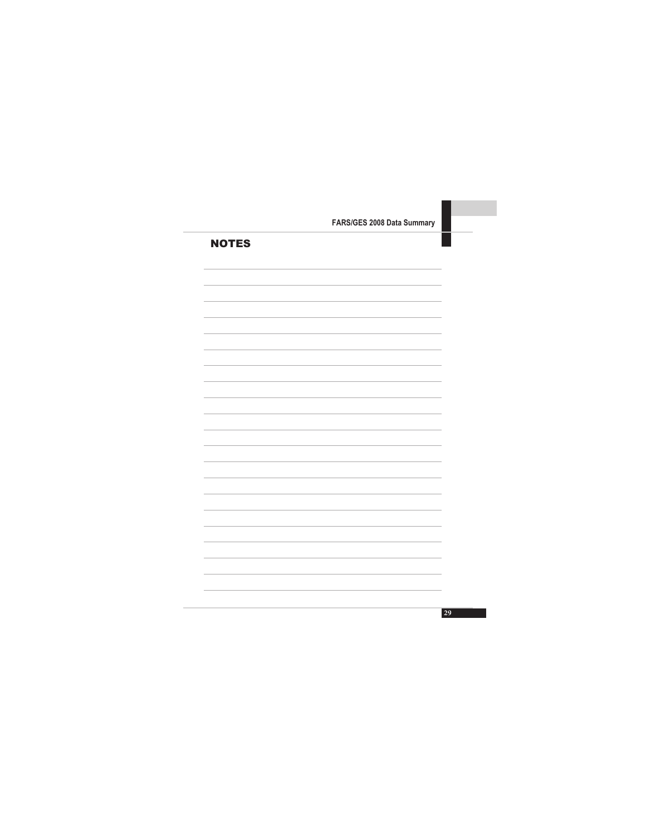| <b>NOTES</b> |  |  |
|--------------|--|--|
|              |  |  |
|              |  |  |
|              |  |  |
|              |  |  |
|              |  |  |
|              |  |  |
|              |  |  |
|              |  |  |
|              |  |  |
|              |  |  |
|              |  |  |
|              |  |  |
|              |  |  |
|              |  |  |
|              |  |  |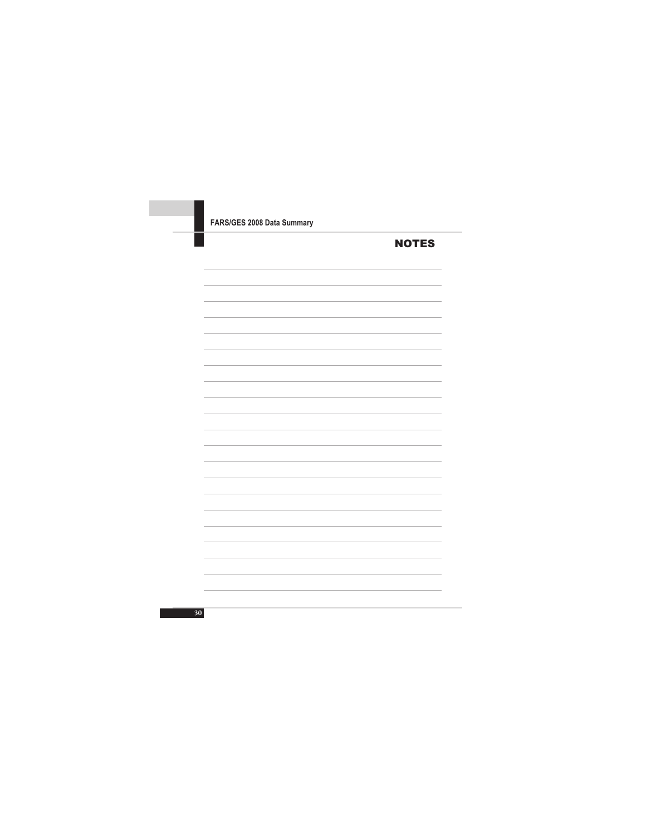| FARS/GES 2008 Data Summary |              |
|----------------------------|--------------|
|                            | <b>NOTES</b> |
|                            |              |
|                            |              |
|                            |              |
|                            |              |
|                            |              |
|                            |              |
|                            |              |
|                            |              |
|                            |              |
|                            |              |
|                            |              |
|                            |              |
|                            |              |
|                            |              |
|                            |              |
|                            |              |